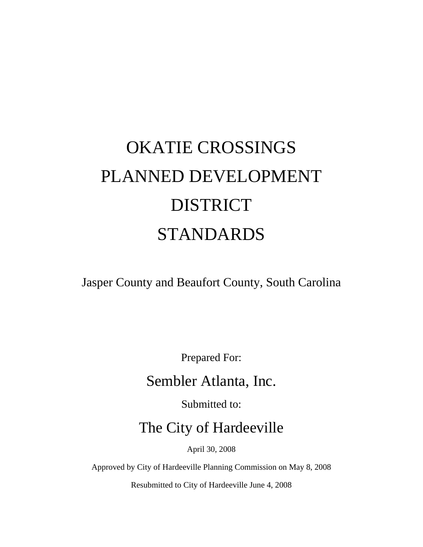# OKATIE CROSSINGS PLANNED DEVELOPMENT DISTRICT STANDARDS

Jasper County and Beaufort County, South Carolina

Prepared For:

# Sembler Atlanta, Inc.

Submitted to:

The City of Hardeeville

April 30, 2008

Approved by City of Hardeeville Planning Commission on May 8, 2008

Resubmitted to City of Hardeeville June 4, 2008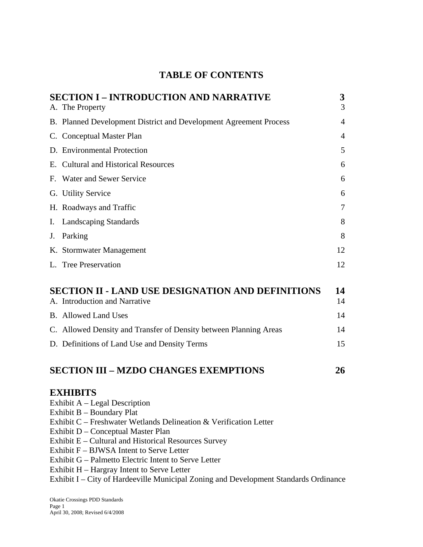# **TABLE OF CONTENTS**

| <b>SECTION I - INTRODUCTION AND NARRATIVE</b><br>A. The Property                                                                                                                                                                                                                                                                                                                                                                                                                           | 3<br>3         |
|--------------------------------------------------------------------------------------------------------------------------------------------------------------------------------------------------------------------------------------------------------------------------------------------------------------------------------------------------------------------------------------------------------------------------------------------------------------------------------------------|----------------|
| B. Planned Development District and Development Agreement Process                                                                                                                                                                                                                                                                                                                                                                                                                          | 4              |
| C. Conceptual Master Plan                                                                                                                                                                                                                                                                                                                                                                                                                                                                  | $\overline{4}$ |
| D. Environmental Protection                                                                                                                                                                                                                                                                                                                                                                                                                                                                | 5              |
| E. Cultural and Historical Resources                                                                                                                                                                                                                                                                                                                                                                                                                                                       | 6              |
| F. Water and Sewer Service                                                                                                                                                                                                                                                                                                                                                                                                                                                                 | 6              |
| G. Utility Service                                                                                                                                                                                                                                                                                                                                                                                                                                                                         | 6              |
| H. Roadways and Traffic                                                                                                                                                                                                                                                                                                                                                                                                                                                                    | 7              |
| I. Landscaping Standards                                                                                                                                                                                                                                                                                                                                                                                                                                                                   | 8              |
| J. Parking                                                                                                                                                                                                                                                                                                                                                                                                                                                                                 | 8              |
| K. Stormwater Management                                                                                                                                                                                                                                                                                                                                                                                                                                                                   | 12             |
| L. Tree Preservation                                                                                                                                                                                                                                                                                                                                                                                                                                                                       | 12             |
| <b>SECTION II - LAND USE DESIGNATION AND DEFINITIONS</b><br>A. Introduction and Narrative                                                                                                                                                                                                                                                                                                                                                                                                  | 14<br>14       |
| <b>B.</b> Allowed Land Uses                                                                                                                                                                                                                                                                                                                                                                                                                                                                | 14             |
| C. Allowed Density and Transfer of Density between Planning Areas                                                                                                                                                                                                                                                                                                                                                                                                                          | 14             |
| D. Definitions of Land Use and Density Terms                                                                                                                                                                                                                                                                                                                                                                                                                                               | 15             |
| <b>SECTION III - MZDO CHANGES EXEMPTIONS</b>                                                                                                                                                                                                                                                                                                                                                                                                                                               | 26             |
| <b>EXHIBITS</b><br>Exhibit A - Legal Description<br>Exhibit B – Boundary Plat<br>Exhibit C - Freshwater Wetlands Delineation & Verification Letter<br>Exhibit D – Conceptual Master Plan<br>Exhibit E - Cultural and Historical Resources Survey<br>Exhibit F – BJWSA Intent to Serve Letter<br>Exhibit G – Palmetto Electric Intent to Serve Letter<br>Exhibit H - Hargray Intent to Serve Letter<br>Exhibit I - City of Hardeeville Municipal Zoning and Development Standards Ordinance |                |
|                                                                                                                                                                                                                                                                                                                                                                                                                                                                                            |                |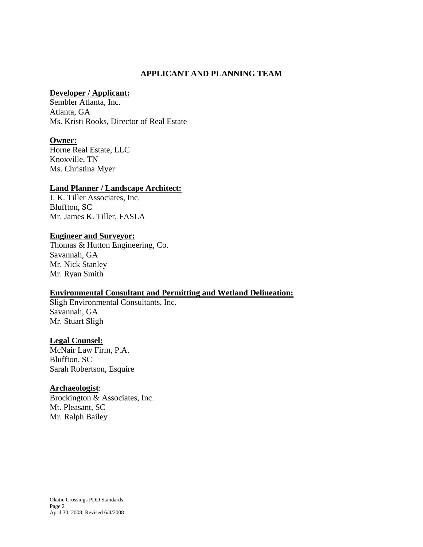#### **APPLICANT AND PLANNING TEAM**

#### **Developer / Applicant:**

Sembler Atlanta, Inc. Atlanta, GA Ms. Kristi Rooks, Director of Real Estate

#### **Owner:**

Horne Real Estate, LLC Knoxville, TN Ms. Christina Myer

#### **Land Planner / Landscape Architect:**

J. K. Tiller Associates, Inc. Bluffton, SC Mr. James K. Tiller, FASLA

#### **Engineer and Surveyor:**

Thomas & Hutton Engineering, Co. Savannah, GA Mr. Nick Stanley Mr. Ryan Smith

#### **Environmental Consultant and Permitting and Wetland Delineation:**

Sligh Environmental Consultants, Inc. Savannah, GA Mr. Stuart Sligh

#### **Legal Counsel:**

McNair Law Firm, P.A. Bluffton, SC Sarah Robertson, Esquire

#### **Archaeologist**:

Brockington & Associates, Inc. Mt. Pleasant, SC Mr. Ralph Bailey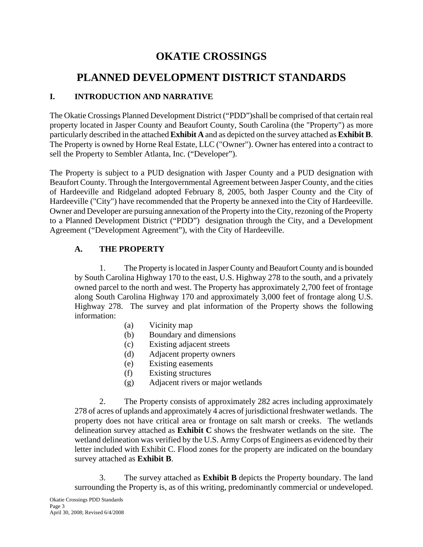# **OKATIE CROSSINGS**

# **PLANNED DEVELOPMENT DISTRICT STANDARDS**

# **I. INTRODUCTION AND NARRATIVE**

The Okatie Crossings Planned Development District ("PDD")shall be comprised of that certain real property located in Jasper County and Beaufort County, South Carolina (the "Property") as more particularly described in the attached **Exhibit A** and as depicted on the survey attached as **Exhibit B**. The Property is owned by Horne Real Estate, LLC ("Owner"). Owner has entered into a contract to sell the Property to Sembler Atlanta, Inc. ("Developer").

The Property is subject to a PUD designation with Jasper County and a PUD designation with Beaufort County. Through the Intergovernmental Agreement between Jasper County, and the cities of Hardeeville and Ridgeland adopted February 8, 2005, both Jasper County and the City of Hardeeville ("City") have recommended that the Property be annexed into the City of Hardeeville. Owner and Developer are pursuing annexation of the Property into the City, rezoning of the Property to a Planned Development District ("PDD") designation through the City, and a Development Agreement ("Development Agreement"), with the City of Hardeeville.

# **A. THE PROPERTY**

1. The Property is located in Jasper County and Beaufort County and is bounded by South Carolina Highway 170 to the east, U.S. Highway 278 to the south, and a privately owned parcel to the north and west. The Property has approximately 2,700 feet of frontage along South Carolina Highway 170 and approximately 3,000 feet of frontage along U.S. Highway 278. The survey and plat information of the Property shows the following information:

- (a) Vicinity map
- (b) Boundary and dimensions
- (c) Existing adjacent streets
- (d) Adjacent property owners
- (e) Existing easements
- (f) Existing structures
- (g) Adjacent rivers or major wetlands

2. The Property consists of approximately 282 acres including approximately 278 of acres of uplands and approximately 4 acres of jurisdictional freshwater wetlands. The property does not have critical area or frontage on salt marsh or creeks. The wetlands delineation survey attached as **Exhibit C** shows the freshwater wetlands on the site. The wetland delineation was verified by the U.S. Army Corps of Engineers as evidenced by their letter included with Exhibit C. Flood zones for the property are indicated on the boundary survey attached as **Exhibit B**.

3. The survey attached as **Exhibit B** depicts the Property boundary. The land surrounding the Property is, as of this writing, predominantly commercial or undeveloped.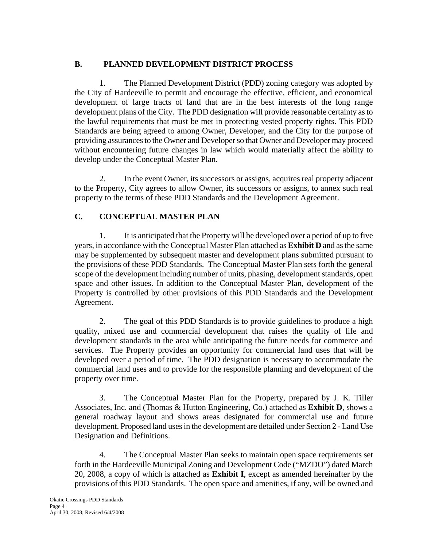# **B. PLANNED DEVELOPMENT DISTRICT PROCESS**

1. The Planned Development District (PDD) zoning category was adopted by the City of Hardeeville to permit and encourage the effective, efficient, and economical development of large tracts of land that are in the best interests of the long range development plans of the City. The PDD designation will provide reasonable certainty as to the lawful requirements that must be met in protecting vested property rights. This PDD Standards are being agreed to among Owner, Developer, and the City for the purpose of providing assurances to the Owner and Developer so that Owner and Developer may proceed without encountering future changes in law which would materially affect the ability to develop under the Conceptual Master Plan.

2. In the event Owner, its successors or assigns, acquires real property adjacent to the Property, City agrees to allow Owner, its successors or assigns, to annex such real property to the terms of these PDD Standards and the Development Agreement.

# **C. CONCEPTUAL MASTER PLAN**

1. It is anticipated that the Property will be developed over a period of up to five years, in accordance with the Conceptual Master Plan attached as **Exhibit D** and as the same may be supplemented by subsequent master and development plans submitted pursuant to the provisions of these PDD Standards. The Conceptual Master Plan sets forth the general scope of the development including number of units, phasing, development standards, open space and other issues. In addition to the Conceptual Master Plan, development of the Property is controlled by other provisions of this PDD Standards and the Development Agreement.

2. The goal of this PDD Standards is to provide guidelines to produce a high quality, mixed use and commercial development that raises the quality of life and development standards in the area while anticipating the future needs for commerce and services. The Property provides an opportunity for commercial land uses that will be developed over a period of time. The PDD designation is necessary to accommodate the commercial land uses and to provide for the responsible planning and development of the property over time.

3. The Conceptual Master Plan for the Property, prepared by J. K. Tiller Associates, Inc. and (Thomas & Hutton Engineering, Co.) attached as **Exhibit D**, shows a general roadway layout and shows areas designated for commercial use and future development. Proposed land uses in the development are detailed under Section 2 - Land Use Designation and Definitions.

4. The Conceptual Master Plan seeks to maintain open space requirements set forth in the Hardeeville Municipal Zoning and Development Code ("MZDO") dated March 20, 2008, a copy of which is attached as **Exhibit I**, except as amended hereinafter by the provisions of this PDD Standards. The open space and amenities, if any, will be owned and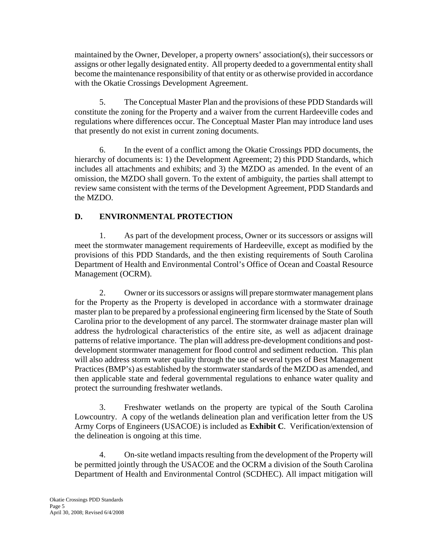maintained by the Owner, Developer, a property owners' association(s), their successors or assigns or other legally designated entity. All property deeded to a governmental entity shall become the maintenance responsibility of that entity or as otherwise provided in accordance with the Okatie Crossings Development Agreement.

5. The Conceptual Master Plan and the provisions of these PDD Standards will constitute the zoning for the Property and a waiver from the current Hardeeville codes and regulations where differences occur. The Conceptual Master Plan may introduce land uses that presently do not exist in current zoning documents.

6. In the event of a conflict among the Okatie Crossings PDD documents, the hierarchy of documents is: 1) the Development Agreement; 2) this PDD Standards, which includes all attachments and exhibits; and 3) the MZDO as amended. In the event of an omission, the MZDO shall govern. To the extent of ambiguity, the parties shall attempt to review same consistent with the terms of the Development Agreement, PDD Standards and the MZDO.

# **D. ENVIRONMENTAL PROTECTION**

1. As part of the development process, Owner or its successors or assigns will meet the stormwater management requirements of Hardeeville, except as modified by the provisions of this PDD Standards, and the then existing requirements of South Carolina Department of Health and Environmental Control's Office of Ocean and Coastal Resource Management (OCRM).

2. Owner or its successors or assigns will prepare stormwater management plans for the Property as the Property is developed in accordance with a stormwater drainage master plan to be prepared by a professional engineering firm licensed by the State of South Carolina prior to the development of any parcel. The stormwater drainage master plan will address the hydrological characteristics of the entire site, as well as adjacent drainage patterns of relative importance. The plan will address pre-development conditions and postdevelopment stormwater management for flood control and sediment reduction. This plan will also address storm water quality through the use of several types of Best Management Practices (BMP's) as established by the stormwater standards of the MZDO as amended, and then applicable state and federal governmental regulations to enhance water quality and protect the surrounding freshwater wetlands.

3. Freshwater wetlands on the property are typical of the South Carolina Lowcountry. A copy of the wetlands delineation plan and verification letter from the US Army Corps of Engineers (USACOE) is included as **Exhibit C**. Verification/extension of the delineation is ongoing at this time.

4. On-site wetland impacts resulting from the development of the Property will be permitted jointly through the USACOE and the OCRM a division of the South Carolina Department of Health and Environmental Control (SCDHEC). All impact mitigation will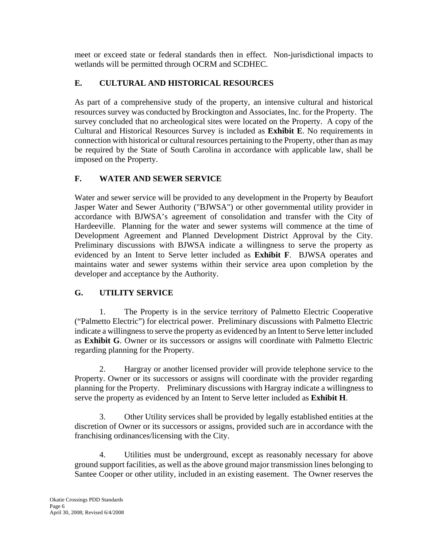meet or exceed state or federal standards then in effect. Non-jurisdictional impacts to wetlands will be permitted through OCRM and SCDHEC.

# **E. CULTURAL AND HISTORICAL RESOURCES**

As part of a comprehensive study of the property, an intensive cultural and historical resources survey was conducted by Brockington and Associates, Inc. for the Property. The survey concluded that no archeological sites were located on the Property. A copy of the Cultural and Historical Resources Survey is included as **Exhibit E**. No requirements in connection with historical or cultural resources pertaining to the Property, other than as may be required by the State of South Carolina in accordance with applicable law, shall be imposed on the Property.

# **F. WATER AND SEWER SERVICE**

Water and sewer service will be provided to any development in the Property by Beaufort Jasper Water and Sewer Authority ("BJWSA") or other governmental utility provider in accordance with BJWSA's agreement of consolidation and transfer with the City of Hardeeville. Planning for the water and sewer systems will commence at the time of Development Agreement and Planned Development District Approval by the City. Preliminary discussions with BJWSA indicate a willingness to serve the property as evidenced by an Intent to Serve letter included as **Exhibit F**. BJWSA operates and maintains water and sewer systems within their service area upon completion by the developer and acceptance by the Authority.

# **G. UTILITY SERVICE**

1. The Property is in the service territory of Palmetto Electric Cooperative ("Palmetto Electric") for electrical power. Preliminary discussions with Palmetto Electric indicate a willingness to serve the property as evidenced by an Intent to Serve letter included as **Exhibit G**. Owner or its successors or assigns will coordinate with Palmetto Electric regarding planning for the Property.

2. Hargray or another licensed provider will provide telephone service to the Property. Owner or its successors or assigns will coordinate with the provider regarding planning for the Property. Preliminary discussions with Hargray indicate a willingness to serve the property as evidenced by an Intent to Serve letter included as **Exhibit H**.

3. Other Utility services shall be provided by legally established entities at the discretion of Owner or its successors or assigns, provided such are in accordance with the franchising ordinances/licensing with the City.

4. Utilities must be underground, except as reasonably necessary for above ground support facilities, as well as the above ground major transmission lines belonging to Santee Cooper or other utility, included in an existing easement. The Owner reserves the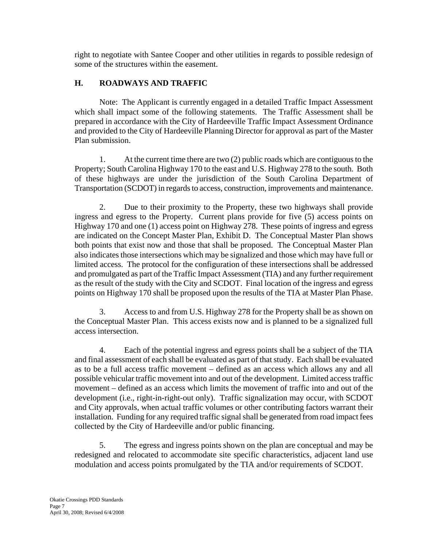right to negotiate with Santee Cooper and other utilities in regards to possible redesign of some of the structures within the easement.

# **H. ROADWAYS AND TRAFFIC**

Note: The Applicant is currently engaged in a detailed Traffic Impact Assessment which shall impact some of the following statements. The Traffic Assessment shall be prepared in accordance with the City of Hardeeville Traffic Impact Assessment Ordinance and provided to the City of Hardeeville Planning Director for approval as part of the Master Plan submission.

1. At the current time there are two (2) public roads which are contiguous to the Property; South Carolina Highway 170 to the east and U.S. Highway 278 to the south. Both of these highways are under the jurisdiction of the South Carolina Department of Transportation (SCDOT) in regards to access, construction, improvements and maintenance.

2. Due to their proximity to the Property, these two highways shall provide ingress and egress to the Property. Current plans provide for five (5) access points on Highway 170 and one (1) access point on Highway 278. These points of ingress and egress are indicated on the Concept Master Plan, Exhibit D. The Conceptual Master Plan shows both points that exist now and those that shall be proposed. The Conceptual Master Plan also indicates those intersections which may be signalized and those which may have full or limited access. The protocol for the configuration of these intersections shall be addressed and promulgated as part of the Traffic Impact Assessment (TIA) and any further requirement as the result of the study with the City and SCDOT. Final location of the ingress and egress points on Highway 170 shall be proposed upon the results of the TIA at Master Plan Phase.

3. Access to and from U.S. Highway 278 for the Property shall be as shown on the Conceptual Master Plan. This access exists now and is planned to be a signalized full access intersection.

4. Each of the potential ingress and egress points shall be a subject of the TIA and final assessment of each shall be evaluated as part of that study. Each shall be evaluated as to be a full access traffic movement – defined as an access which allows any and all possible vehicular traffic movement into and out of the development. Limited access traffic movement – defined as an access which limits the movement of traffic into and out of the development (i.e., right-in-right-out only). Traffic signalization may occur, with SCDOT and City approvals, when actual traffic volumes or other contributing factors warrant their installation. Funding for any required traffic signal shall be generated from road impact fees collected by the City of Hardeeville and/or public financing.

5. The egress and ingress points shown on the plan are conceptual and may be redesigned and relocated to accommodate site specific characteristics, adjacent land use modulation and access points promulgated by the TIA and/or requirements of SCDOT.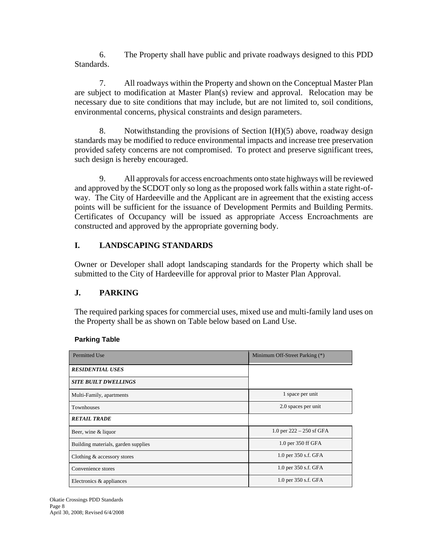6. The Property shall have public and private roadways designed to this PDD Standards.

7. All roadways within the Property and shown on the Conceptual Master Plan are subject to modification at Master Plan(s) review and approval. Relocation may be necessary due to site conditions that may include, but are not limited to, soil conditions, environmental concerns, physical constraints and design parameters.

8. Notwithstanding the provisions of Section  $I(H)(5)$  above, roadway design standards may be modified to reduce environmental impacts and increase tree preservation provided safety concerns are not compromised. To protect and preserve significant trees, such design is hereby encouraged.

9. All approvals for access encroachments onto state highways will be reviewed and approved by the SCDOT only so long as the proposed work falls within a state right-ofway. The City of Hardeeville and the Applicant are in agreement that the existing access points will be sufficient for the issuance of Development Permits and Building Permits. Certificates of Occupancy will be issued as appropriate Access Encroachments are constructed and approved by the appropriate governing body.

# **I. LANDSCAPING STANDARDS**

Owner or Developer shall adopt landscaping standards for the Property which shall be submitted to the City of Hardeeville for approval prior to Master Plan Approval.

# **J. PARKING**

The required parking spaces for commercial uses, mixed use and multi-family land uses on the Property shall be as shown on Table below based on Land Use.

#### **Parking Table**

| <b>Permitted Use</b>                | Minimum Off-Street Parking (*) |
|-------------------------------------|--------------------------------|
| <b>RESIDENTIAL USES</b>             |                                |
| <b>SITE BUILT DWELLINGS</b>         |                                |
| Multi-Family, apartments            | 1 space per unit               |
| <b>Townhouses</b>                   | 2.0 spaces per unit            |
| <b>RETAIL TRADE</b>                 |                                |
| Beer, wine & liquor                 | 1.0 per $222 - 250$ sf GFA     |
| Building materials, garden supplies | 1.0 per 350 ff GFA             |
| Clothing & accessory stores         | 1.0 per 350 s.f. GFA           |
| Convenience stores                  | 1.0 per 350 s.f. GFA           |
| Electronics & appliances            | 1.0 per 350 s.f. GFA           |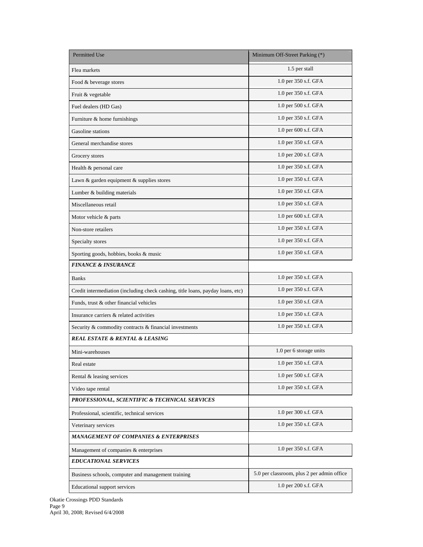| <b>Permitted Use</b>                                                            | Minimum Off-Street Parking (*)             |
|---------------------------------------------------------------------------------|--------------------------------------------|
| Flea markets                                                                    | 1.5 per stall                              |
| Food & beverage stores                                                          | 1.0 per 350 s.f. GFA                       |
| Fruit & vegetable                                                               | 1.0 per 350 s.f. GFA                       |
| Fuel dealers (HD Gas)                                                           | 1.0 per 500 s.f. GFA                       |
| Furniture & home furnishings                                                    | 1.0 per 350 s.f. GFA                       |
| Gasoline stations                                                               | 1.0 per 600 s.f. GFA                       |
| General merchandise stores                                                      | 1.0 per 350 s.f. GFA                       |
| Grocery stores                                                                  | 1.0 per 200 s.f. GFA                       |
| Health & personal care                                                          | 1.0 per 350 s.f. GFA                       |
| Lawn & garden equipment & supplies stores                                       | 1.0 per 350 s.f. GFA                       |
| Lumber & building materials                                                     | 1.0 per 350 s.f. GFA                       |
| Miscellaneous retail                                                            | 1.0 per 350 s.f. GFA                       |
| Motor vehicle & parts                                                           | 1.0 per 600 s.f. GFA                       |
| Non-store retailers                                                             | 1.0 per 350 s.f. GFA                       |
| Specialty stores                                                                | 1.0 per 350 s.f. GFA                       |
| Sporting goods, hobbies, books & music                                          | 1.0 per 350 s.f. GFA                       |
| <b>FINANCE &amp; INSURANCE</b>                                                  |                                            |
| <b>Banks</b>                                                                    | 1.0 per 350 s.f. GFA                       |
| Credit intermediation (including check cashing, title loans, payday loans, etc) | 1.0 per 350 s.f. GFA                       |
| Funds, trust & other financial vehicles                                         | 1.0 per 350 s.f. GFA                       |
| Insurance carriers & related activities                                         | 1.0 per 350 s.f. GFA                       |
| Security & commodity contracts & financial investments                          | 1.0 per 350 s.f. GFA                       |
| <b>REAL ESTATE &amp; RENTAL &amp; LEASING</b>                                   |                                            |
| Mini-warehouses                                                                 | 1.0 per 6 storage units                    |
| Real estate                                                                     | 1.0 per 350 s.f. GFA                       |
| Rental & leasing services                                                       | 1.0 per 500 s.f. GFA                       |
| Video tape rental                                                               | 1.0 per 350 s.f. GFA                       |
| PROFESSIONAL, SCIENTIFIC & TECHNICAL SERVICES                                   |                                            |
| Professional, scientific, technical services                                    | 1.0 per 300 s.f. GFA                       |
| Veterinary services                                                             | 1.0 per 350 s.f. GFA                       |
| <b>MANAGEMENT OF COMPANIES &amp; ENTERPRISES</b>                                |                                            |
| Management of companies & enterprises                                           | 1.0 per 350 s.f. GFA                       |
| <b>EDUCATIONAL SERVICES</b>                                                     |                                            |
| Business schools, computer and management training                              | 5.0 per classroom, plus 2 per admin office |
| Educational support services                                                    | 1.0 per 200 s.f. GFA                       |

Okatie Crossings PDD Standards Page 9 April 30, 2008; Revised 6/4/2008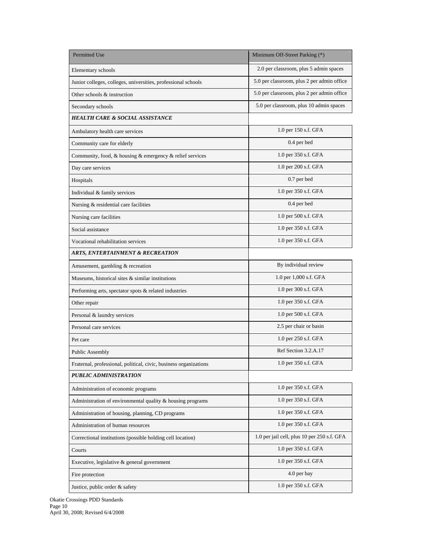| <b>Permitted Use</b>                                              | Minimum Off-Street Parking (*)              |
|-------------------------------------------------------------------|---------------------------------------------|
| Elementary schools                                                | 2.0 per classroom, plus 5 admin spaces      |
| Junior colleges, colleges, universities, professional schools     | 5.0 per classroom, plus 2 per admin office  |
| Other schools & instruction                                       | 5.0 per classroom, plus 2 per admin office  |
| Secondary schools                                                 | 5.0 per classroom, plus 10 admin spaces     |
| <b>HEALTH CARE &amp; SOCIAL ASSISTANCE</b>                        |                                             |
| Ambulatory health care services                                   | 1.0 per 150 s.f. GFA                        |
| Community care for elderly                                        | 0.4 per bed                                 |
| Community, food, & housing & emergency & relief services          | 1.0 per 350 s.f. GFA                        |
| Day care services                                                 | 1.0 per 200 s.f. GFA                        |
| Hospitals                                                         | 0.7 per bed                                 |
| Individual & family services                                      | 1.0 per 350 s.f. GFA                        |
| Nursing & residential care facilities                             | 0.4 per bed                                 |
| Nursing care facilities                                           | 1.0 per 500 s.f. GFA                        |
| Social assistance                                                 | 1.0 per 350 s.f. GFA                        |
| Vocational rehabilitation services                                | 1.0 per 350 s.f. GFA                        |
| <b>ARTS, ENTERTAINMENT &amp; RECREATION</b>                       |                                             |
| Amusement, gambling & recreation                                  | By individual review                        |
| Museums, historical sites & similar institutions                  | 1.0 per 1,000 s.f. GFA                      |
| Performing arts, spectator spots & related industries             | 1.0 per 300 s.f. GFA                        |
| Other repair                                                      | 1.0 per 350 s.f. GFA                        |
| Personal & laundry services                                       | 1.0 per 500 s.f. GFA                        |
| Personal care services                                            | 2.5 per chair or basin                      |
| Pet care                                                          | 1.0 per 250 s.f. GFA                        |
| <b>Public Assembly</b>                                            | Ref Section 3.2.A.17                        |
| Fraternal, professional, political, civic, business organizations | 1.0 per 350 s.f. GFA                        |
| PUBLIC ADMINISTRATION                                             |                                             |
| Administration of economic programs                               | 1.0 per 350 s.f. GFA                        |
| Administration of environmental quality & housing programs        | 1.0 per 350 s.f. GFA                        |
| Administration of housing, planning, CD programs                  | 1.0 per 350 s.f. GFA                        |
| Administration of human resources                                 | 1.0 per 350 s.f. GFA                        |
| Correctional institutions (possible holding cell location)        | 1.0 per jail cell, plus 10 per 250 s.f. GFA |
| Courts                                                            | 1.0 per 350 s.f. GFA                        |
| Executive, legislative & general government                       | 1.0 per 350 s.f. GFA                        |
| Fire protection                                                   | 4.0 per bay                                 |
| Justice, public order & safety                                    | 1.0 per 350 s.f. GFA                        |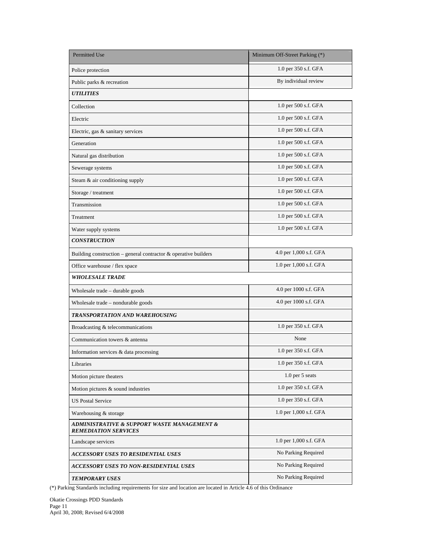| <b>Permitted Use</b>                                                       | Minimum Off-Street Parking (*) |
|----------------------------------------------------------------------------|--------------------------------|
| Police protection                                                          | 1.0 per 350 s.f. GFA           |
| Public parks & recreation                                                  | By individual review           |
| <b>UTILITIES</b>                                                           |                                |
| Collection                                                                 | 1.0 per 500 s.f. GFA           |
| Electric                                                                   | 1.0 per 500 s.f. GFA           |
| Electric, gas & sanitary services                                          | 1.0 per 500 s.f. GFA           |
| Generation                                                                 | 1.0 per 500 s.f. GFA           |
| Natural gas distribution                                                   | 1.0 per 500 s.f. GFA           |
| Sewerage systems                                                           | 1.0 per 500 s.f. GFA           |
| Steam & air conditioning supply                                            | 1.0 per 500 s.f. GFA           |
| Storage / treatment                                                        | 1.0 per 500 s.f. GFA           |
| Transmission                                                               | 1.0 per 500 s.f. GFA           |
| Treatment                                                                  | 1.0 per 500 s.f. GFA           |
| Water supply systems                                                       | 1.0 per 500 s.f. GFA           |
| <b>CONSTRUCTION</b>                                                        |                                |
| Building construction – general contractor $&$ operative builders          | 4.0 per 1,000 s.f. GFA         |
| Office warehouse / flex space                                              | 1.0 per 1,000 s.f. GFA         |
| <b>WHOLESALE TRADE</b>                                                     |                                |
| Wholesale trade - durable goods                                            | 4.0 per 1000 s.f. GFA          |
| Wholesale trade - nondurable goods                                         | 4.0 per 1000 s.f. GFA          |
| TRANSPORTATION AND WAREHOUSING                                             |                                |
| Broadcasting & telecommunications                                          | 1.0 per 350 s.f. GFA           |
| Communication towers & antenna                                             | None                           |
| Information services & data processing                                     | 1.0 per 350 s.f. GFA           |
| Libraries                                                                  | 1.0 per 350 s.f. GFA           |
| Motion picture theaters                                                    | 1.0 per 5 seats                |
| Motion pictures & sound industries                                         | 1.0 per 350 s.f. GFA           |
| <b>US Postal Service</b>                                                   | 1.0 per 350 s.f. GFA           |
| Warehousing & storage                                                      | 1.0 per 1,000 s.f. GFA         |
| ADMINISTRATIVE & SUPPORT WASTE MANAGEMENT &<br><b>REMEDIATION SERVICES</b> |                                |
| Landscape services                                                         | 1.0 per 1,000 s.f. GFA         |
| <b>ACCESSORY USES TO RESIDENTIAL USES</b>                                  | No Parking Required            |
| ACCESSORY USES TO NON-RESIDENTIAL USES                                     | No Parking Required            |
| <b>TEMPORARY USES</b>                                                      | No Parking Required            |

(\*) Parking Standards including requirements for size and location are located in Article 4.6 of this Ordinance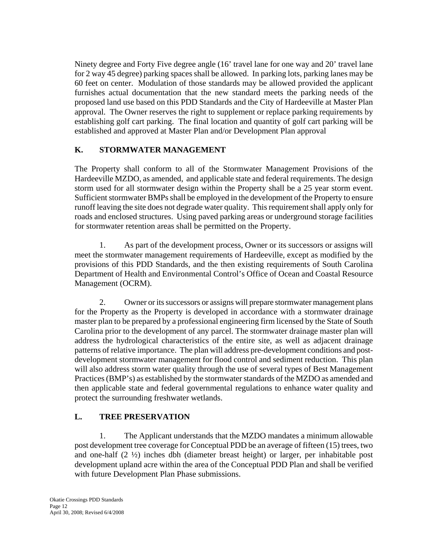Ninety degree and Forty Five degree angle (16' travel lane for one way and 20' travel lane for 2 way 45 degree) parking spaces shall be allowed. In parking lots, parking lanes may be 60 feet on center. Modulation of those standards may be allowed provided the applicant furnishes actual documentation that the new standard meets the parking needs of the proposed land use based on this PDD Standards and the City of Hardeeville at Master Plan approval. The Owner reserves the right to supplement or replace parking requirements by establishing golf cart parking. The final location and quantity of golf cart parking will be established and approved at Master Plan and/or Development Plan approval

# **K. STORMWATER MANAGEMENT**

The Property shall conform to all of the Stormwater Management Provisions of the Hardeeville MZDO, as amended, and applicable state and federal requirements. The design storm used for all stormwater design within the Property shall be a 25 year storm event. Sufficient stormwater BMPs shall be employed in the development of the Property to ensure runoff leaving the site does not degrade water quality. This requirement shall apply only for roads and enclosed structures. Using paved parking areas or underground storage facilities for stormwater retention areas shall be permitted on the Property.

1. As part of the development process, Owner or its successors or assigns will meet the stormwater management requirements of Hardeeville, except as modified by the provisions of this PDD Standards, and the then existing requirements of South Carolina Department of Health and Environmental Control's Office of Ocean and Coastal Resource Management (OCRM).

2. Owner or its successors or assigns will prepare stormwater management plans for the Property as the Property is developed in accordance with a stormwater drainage master plan to be prepared by a professional engineering firm licensed by the State of South Carolina prior to the development of any parcel. The stormwater drainage master plan will address the hydrological characteristics of the entire site, as well as adjacent drainage patterns of relative importance. The plan will address pre-development conditions and postdevelopment stormwater management for flood control and sediment reduction. This plan will also address storm water quality through the use of several types of Best Management Practices (BMP's) as established by the stormwater standards of the MZDO as amended and then applicable state and federal governmental regulations to enhance water quality and protect the surrounding freshwater wetlands.

# **L. TREE PRESERVATION**

1. The Applicant understands that the MZDO mandates a minimum allowable post development tree coverage for Conceptual PDD be an average of fifteen (15) trees, two and one-half (2 ½) inches dbh (diameter breast height) or larger, per inhabitable post development upland acre within the area of the Conceptual PDD Plan and shall be verified with future Development Plan Phase submissions.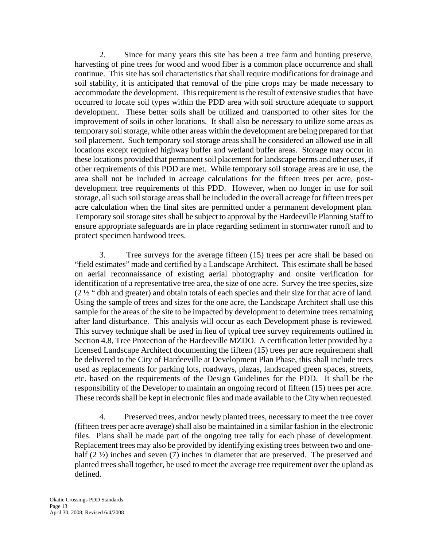2. Since for many years this site has been a tree farm and hunting preserve, harvesting of pine trees for wood and wood fiber is a common place occurrence and shall continue. This site has soil characteristics that shall require modifications for drainage and soil stability, it is anticipated that removal of the pine crops may be made necessary to accommodate the development. This requirement is the result of extensive studies that have occurred to locate soil types within the PDD area with soil structure adequate to support development. These better soils shall be utilized and transported to other sites for the improvement of soils in other locations. It shall also be necessary to utilize some areas as temporary soil storage, while other areas within the development are being prepared for that soil placement. Such temporary soil storage areas shall be considered an allowed use in all locations except required highway buffer and wetland buffer areas. Storage may occur in these locations provided that permanent soil placement for landscape berms and other uses, if other requirements of this PDD are met. While temporary soil storage areas are in use, the area shall not be included in acreage calculations for the fifteen trees per acre, postdevelopment tree requirements of this PDD. However, when no longer in use for soil storage, all such soil storage areas shall be included in the overall acreage for fifteen trees per acre calculation when the final sites are permitted under a permanent development plan. Temporary soil storage sites shall be subject to approval by the Hardeeville Planning Staff to ensure appropriate safeguards are in place regarding sediment in stormwater runoff and to protect specimen hardwood trees.

3. Tree surveys for the average fifteen (15) trees per acre shall be based on "field estimates" made and certified by a Landscape Architect. This estimate shall be based on aerial reconnaissance of existing aerial photography and onsite verification for identification of a representative tree area, the size of one acre. Survey the tree species, size (2 ½ " dbh and greater) and obtain totals of each species and their size for that acre of land. Using the sample of trees and sizes for the one acre, the Landscape Architect shall use this sample for the areas of the site to be impacted by development to determine trees remaining after land disturbance. This analysis will occur as each Development phase is reviewed. This survey technique shall be used in lieu of typical tree survey requirements outlined in Section 4.8, Tree Protection of the Hardeeville MZDO. A certification letter provided by a licensed Landscape Architect documenting the fifteen (15) trees per acre requirement shall be delivered to the City of Hardeeville at Development Plan Phase, this shall include trees used as replacements for parking lots, roadways, plazas, landscaped green spaces, streets, etc. based on the requirements of the Design Guidelines for the PDD. It shall be the responsibility of the Developer to maintain an ongoing record of fifteen (15) trees per acre. These records shall be kept in electronic files and made available to the City when requested.

4. Preserved trees, and/or newly planted trees, necessary to meet the tree cover (fifteen trees per acre average) shall also be maintained in a similar fashion in the electronic files. Plans shall be made part of the ongoing tree tally for each phase of development. Replacement trees may also be provided by identifying existing trees between two and onehalf (2  $\frac{1}{2}$ ) inches and seven (7) inches in diameter that are preserved. The preserved and planted trees shall together, be used to meet the average tree requirement over the upland as defined.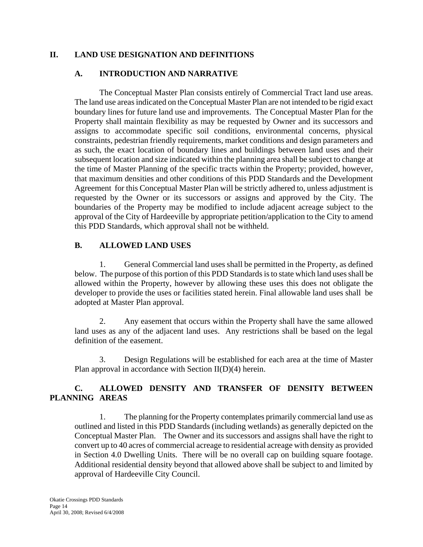# **II. LAND USE DESIGNATION AND DEFINITIONS**

# **A. INTRODUCTION AND NARRATIVE**

The Conceptual Master Plan consists entirely of Commercial Tract land use areas. The land use areas indicated on the Conceptual Master Plan are not intended to be rigid exact boundary lines for future land use and improvements. The Conceptual Master Plan for the Property shall maintain flexibility as may be requested by Owner and its successors and assigns to accommodate specific soil conditions, environmental concerns, physical constraints, pedestrian friendly requirements, market conditions and design parameters and as such, the exact location of boundary lines and buildings between land uses and their subsequent location and size indicated within the planning area shall be subject to change at the time of Master Planning of the specific tracts within the Property; provided, however, that maximum densities and other conditions of this PDD Standards and the Development Agreement for this Conceptual Master Plan will be strictly adhered to, unless adjustment is requested by the Owner or its successors or assigns and approved by the City. The boundaries of the Property may be modified to include adjacent acreage subject to the approval of the City of Hardeeville by appropriate petition/application to the City to amend this PDD Standards, which approval shall not be withheld.

# **B. ALLOWED LAND USES**

1. General Commercial land uses shall be permitted in the Property, as defined below. The purpose of this portion of this PDD Standards is to state which land uses shall be allowed within the Property, however by allowing these uses this does not obligate the developer to provide the uses or facilities stated herein. Final allowable land uses shall be adopted at Master Plan approval.

2. Any easement that occurs within the Property shall have the same allowed land uses as any of the adjacent land uses. Any restrictions shall be based on the legal definition of the easement.

3. Design Regulations will be established for each area at the time of Master Plan approval in accordance with Section II(D)(4) herein.

# **C. ALLOWED DENSITY AND TRANSFER OF DENSITY BETWEEN PLANNING AREAS**

1. The planning for the Property contemplates primarily commercial land use as outlined and listed in this PDD Standards (including wetlands) as generally depicted on the Conceptual Master Plan. The Owner and its successors and assigns shall have the right to convert up to 40 acres of commercial acreage to residential acreage with density as provided in Section 4.0 Dwelling Units. There will be no overall cap on building square footage. Additional residential density beyond that allowed above shall be subject to and limited by approval of Hardeeville City Council.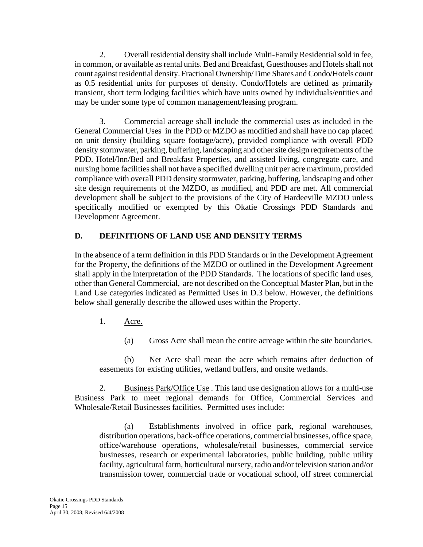2. Overall residential density shall include Multi-Family Residential sold in fee, in common, or available as rental units. Bed and Breakfast, Guesthouses and Hotels shall not count against residential density. Fractional Ownership/Time Shares and Condo/Hotels count as 0.5 residential units for purposes of density. Condo/Hotels are defined as primarily transient, short term lodging facilities which have units owned by individuals/entities and may be under some type of common management/leasing program.

3. Commercial acreage shall include the commercial uses as included in the General Commercial Uses in the PDD or MZDO as modified and shall have no cap placed on unit density (building square footage/acre), provided compliance with overall PDD density stormwater, parking, buffering, landscaping and other site design requirements of the PDD. Hotel/Inn/Bed and Breakfast Properties, and assisted living, congregate care, and nursing home facilities shall not have a specified dwelling unit per acre maximum, provided compliance with overall PDD density stormwater, parking, buffering, landscaping and other site design requirements of the MZDO, as modified, and PDD are met. All commercial development shall be subject to the provisions of the City of Hardeeville MZDO unless specifically modified or exempted by this Okatie Crossings PDD Standards and Development Agreement.

# **D. DEFINITIONS OF LAND USE AND DENSITY TERMS**

In the absence of a term definition in this PDD Standards or in the Development Agreement for the Property, the definitions of the MZDO or outlined in the Development Agreement shall apply in the interpretation of the PDD Standards. The locations of specific land uses, other than General Commercial, are not described on the Conceptual Master Plan, but in the Land Use categories indicated as Permitted Uses in D.3 below. However, the definitions below shall generally describe the allowed uses within the Property.

- 1. Acre.
	- (a) Gross Acre shall mean the entire acreage within the site boundaries.

(b) Net Acre shall mean the acre which remains after deduction of easements for existing utilities, wetland buffers, and onsite wetlands.

2. Business Park/Office Use . This land use designation allows for a multi-use Business Park to meet regional demands for Office, Commercial Services and Wholesale/Retail Businesses facilities. Permitted uses include:

(a) Establishments involved in office park, regional warehouses, distribution operations, back-office operations, commercial businesses, office space, office/warehouse operations, wholesale/retail businesses, commercial service businesses, research or experimental laboratories, public building, public utility facility, agricultural farm, horticultural nursery, radio and/or television station and/or transmission tower, commercial trade or vocational school, off street commercial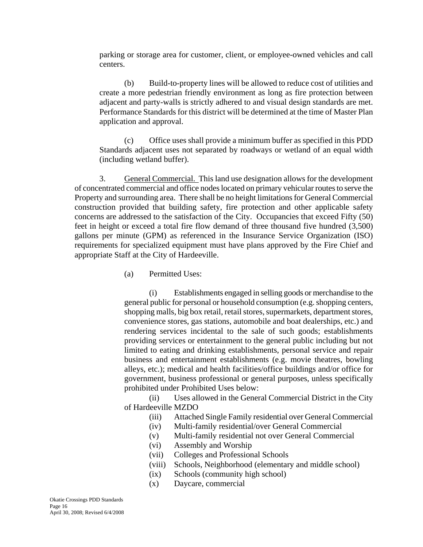parking or storage area for customer, client, or employee-owned vehicles and call centers.

(b) Build-to-property lines will be allowed to reduce cost of utilities and create a more pedestrian friendly environment as long as fire protection between adjacent and party-walls is strictly adhered to and visual design standards are met. Performance Standards for this district will be determined at the time of Master Plan application and approval.

(c) Office uses shall provide a minimum buffer as specified in this PDD Standards adjacent uses not separated by roadways or wetland of an equal width (including wetland buffer).

3. General Commercial. This land use designation allows for the development of concentrated commercial and office nodes located on primary vehicular routes to serve the Property and surrounding area. There shall be no height limitations for General Commercial construction provided that building safety, fire protection and other applicable safety concerns are addressed to the satisfaction of the City. Occupancies that exceed Fifty (50) feet in height or exceed a total fire flow demand of three thousand five hundred (3,500) gallons per minute (GPM) as referenced in the Insurance Service Organization (ISO) requirements for specialized equipment must have plans approved by the Fire Chief and appropriate Staff at the City of Hardeeville.

(a) Permitted Uses:

(i) Establishments engaged in selling goods or merchandise to the general public for personal or household consumption (e.g. shopping centers, shopping malls, big box retail, retail stores, supermarkets, department stores, convenience stores, gas stations, automobile and boat dealerships, etc.) and rendering services incidental to the sale of such goods; establishments providing services or entertainment to the general public including but not limited to eating and drinking establishments, personal service and repair business and entertainment establishments (e.g. movie theatres, bowling alleys, etc.); medical and health facilities/office buildings and/or office for government, business professional or general purposes, unless specifically prohibited under Prohibited Uses below:

(ii) Uses allowed in the General Commercial District in the City of Hardeeville MZDO

- (iii) Attached Single Family residential over General Commercial
- (iv) Multi-family residential/over General Commercial
- (v) Multi-family residential not over General Commercial
- (vi) Assembly and Worship
- (vii) Colleges and Professional Schools
- (viii) Schools, Neighborhood (elementary and middle school)
- (ix) Schools (community high school)
- (x) Daycare, commercial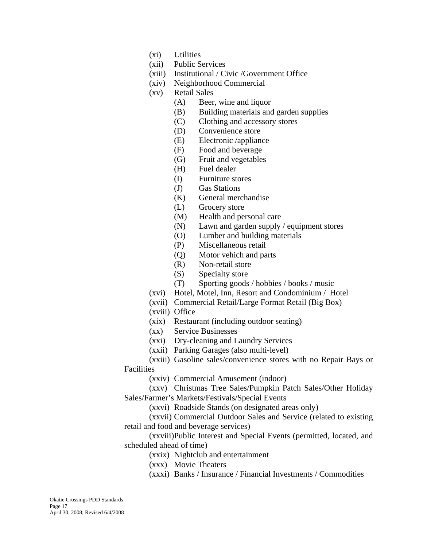- (xi) Utilities
- (xii) Public Services
- (xiii) Institutional / Civic /Government Office
- (xiv) Neighborhood Commercial
- (xv) Retail Sales
	- (A) Beer, wine and liquor
	- (B) Building materials and garden supplies
	- (C) Clothing and accessory stores
	- (D) Convenience store
	- (E) Electronic /appliance
	- (F) Food and beverage
	- (G) Fruit and vegetables
	- (H) Fuel dealer
	- (I) Furniture stores
	- (J) Gas Stations
	- (K) General merchandise
	- (L) Grocery store
	- (M) Health and personal care
	- (N) Lawn and garden supply / equipment stores
	- (O) Lumber and building materials
	- (P) Miscellaneous retail
	- (Q) Motor vehich and parts
	- (R) Non-retail store
	- (S) Specialty store
	- (T) Sporting goods / hobbies / books / music
- (xvi) Hotel, Motel, Inn, Resort and Condominium / Hotel
- (xvii) Commercial Retail/Large Format Retail (Big Box)
- (xviii) Office
- (xix) Restaurant (including outdoor seating)
- (xx) Service Businesses
- (xxi) Dry-cleaning and Laundry Services
- (xxii) Parking Garages (also multi-level)

(xxiii) Gasoline sales/convenience stores with no Repair Bays or Facilities

(xxiv) Commercial Amusement (indoor)

(xxv) Christmas Tree Sales/Pumpkin Patch Sales/Other Holiday Sales/Farmer's Markets/Festivals/Special Events

(xxvi) Roadside Stands (on designated areas only)

(xxvii) Commercial Outdoor Sales and Service (related to existing retail and food and beverage services)

(xxviii)Public Interest and Special Events (permitted, located, and scheduled ahead of time)

- (xxix) Nightclub and entertainment
- (xxx) Movie Theaters
- (xxxi) Banks / Insurance / Financial Investments / Commodities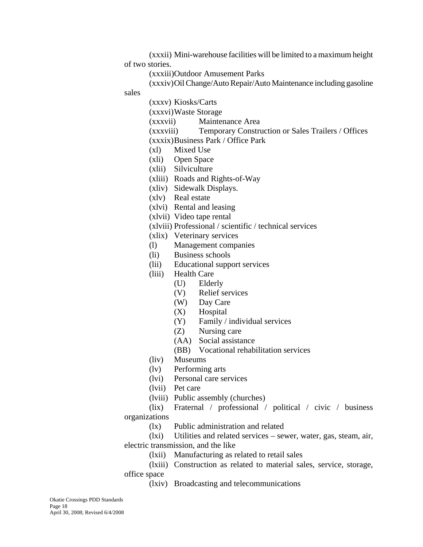(xxxii) Mini-warehouse facilities will be limited to a maximum height of two stories.

(xxxiii)Outdoor Amusement Parks

(xxxiv)Oil Change/Auto Repair/Auto Maintenance including gasoline

sales

(xxxv) Kiosks/Carts

(xxxvi)Waste Storage

(xxxvii) Maintenance Area

(xxxviii) Temporary Construction or Sales Trailers / Offices (xxxix)Business Park / Office Park

- (xl) Mixed Use
- (xli) Open Space
- (xlii) Silviculture
- (xliii) Roads and Rights-of-Way
- (xliv) Sidewalk Displays.
- (xlv) Real estate
- (xlvi) Rental and leasing
- (xlvii) Video tape rental
- (xlviii) Professional / scientific / technical services
- (xlix) Veterinary services
- (l) Management companies
- (li) Business schools
- (lii) Educational support services
- (liii) Health Care
	- (U) Elderly
	- (V) Relief services
	- (W) Day Care
	- (X) Hospital
	- (Y) Family / individual services
	- (Z) Nursing care
	- (AA) Social assistance
	- (BB) Vocational rehabilitation services
- (liv) Museums
- (lv) Performing arts
- (lvi) Personal care services
- (lvii) Pet care
- (lviii) Public assembly (churches)

(lix) Fraternal / professional / political / civic / business organizations

- (lx) Public administration and related
- (lxi) Utilities and related services sewer, water, gas, steam, air, electric transmission, and the like
	- (lxii) Manufacturing as related to retail sales
- (lxiii) Construction as related to material sales, service, storage, office space
	- (lxiv) Broadcasting and telecommunications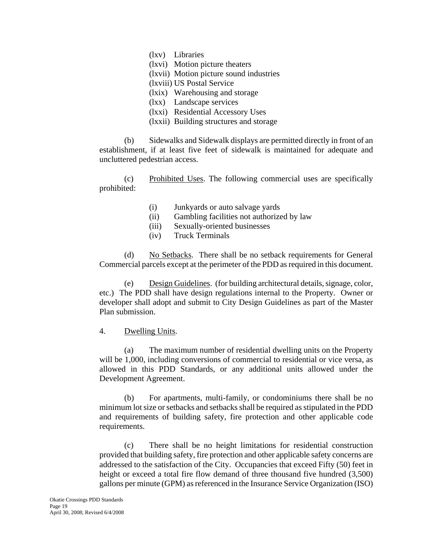- (lxv) Libraries
- (lxvi) Motion picture theaters
- (lxvii) Motion picture sound industries
- (lxviii) US Postal Service
- (lxix) Warehousing and storage
- (lxx) Landscape services
- (lxxi) Residential Accessory Uses
- (lxxii) Building structures and storage

(b) Sidewalks and Sidewalk displays are permitted directly in front of an establishment, if at least five feet of sidewalk is maintained for adequate and uncluttered pedestrian access.

(c) Prohibited Uses. The following commercial uses are specifically prohibited:

- (i) Junkyards or auto salvage yards
- (ii) Gambling facilities not authorized by law
- (iii) Sexually-oriented businesses
- (iv) Truck Terminals

(d) No Setbacks. There shall be no setback requirements for General Commercial parcels except at the perimeter of the PDD as required in this document.

(e) Design Guidelines. (for building architectural details, signage, color, etc.) The PDD shall have design regulations internal to the Property. Owner or developer shall adopt and submit to City Design Guidelines as part of the Master Plan submission.

#### 4. Dwelling Units.

(a) The maximum number of residential dwelling units on the Property will be 1,000, including conversions of commercial to residential or vice versa, as allowed in this PDD Standards, or any additional units allowed under the Development Agreement.

(b) For apartments, multi-family, or condominiums there shall be no minimum lot size or setbacks and setbacks shall be required as stipulated in the PDD and requirements of building safety, fire protection and other applicable code requirements.

(c) There shall be no height limitations for residential construction provided that building safety, fire protection and other applicable safety concerns are addressed to the satisfaction of the City. Occupancies that exceed Fifty (50) feet in height or exceed a total fire flow demand of three thousand five hundred  $(3,500)$ gallons per minute (GPM) as referenced in the Insurance Service Organization (ISO)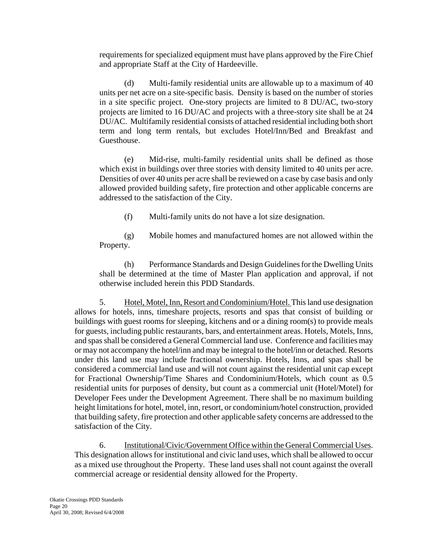requirements for specialized equipment must have plans approved by the Fire Chief and appropriate Staff at the City of Hardeeville.

(d) Multi-family residential units are allowable up to a maximum of 40 units per net acre on a site-specific basis. Density is based on the number of stories in a site specific project. One-story projects are limited to 8 DU/AC, two-story projects are limited to 16 DU/AC and projects with a three-story site shall be at 24 DU/AC. Multifamily residential consists of attached residential including both short term and long term rentals, but excludes Hotel/Inn/Bed and Breakfast and Guesthouse.

(e) Mid-rise, multi-family residential units shall be defined as those which exist in buildings over three stories with density limited to 40 units per acre. Densities of over 40 units per acre shall be reviewed on a case by case basis and only allowed provided building safety, fire protection and other applicable concerns are addressed to the satisfaction of the City.

(f) Multi-family units do not have a lot size designation.

(g) Mobile homes and manufactured homes are not allowed within the Property.

(h) Performance Standards and Design Guidelines for the Dwelling Units shall be determined at the time of Master Plan application and approval, if not otherwise included herein this PDD Standards.

5. Hotel, Motel, Inn, Resort and Condominium/Hotel. This land use designation allows for hotels, inns, timeshare projects, resorts and spas that consist of building or buildings with guest rooms for sleeping, kitchens and or a dining room(s) to provide meals for guests, including public restaurants, bars, and entertainment areas. Hotels, Motels, Inns, and spas shall be considered a General Commercial land use. Conference and facilities may or may not accompany the hotel/inn and may be integral to the hotel/inn or detached. Resorts under this land use may include fractional ownership. Hotels, Inns, and spas shall be considered a commercial land use and will not count against the residential unit cap except for Fractional Ownership/Time Shares and Condominium/Hotels, which count as 0.5 residential units for purposes of density, but count as a commercial unit (Hotel/Motel) for Developer Fees under the Development Agreement. There shall be no maximum building height limitations for hotel, motel, inn, resort, or condominium/hotel construction, provided that building safety, fire protection and other applicable safety concerns are addressed to the satisfaction of the City.

6. Institutional/Civic/Government Office within the General Commercial Uses. This designation allows for institutional and civic land uses, which shall be allowed to occur as a mixed use throughout the Property. These land uses shall not count against the overall commercial acreage or residential density allowed for the Property.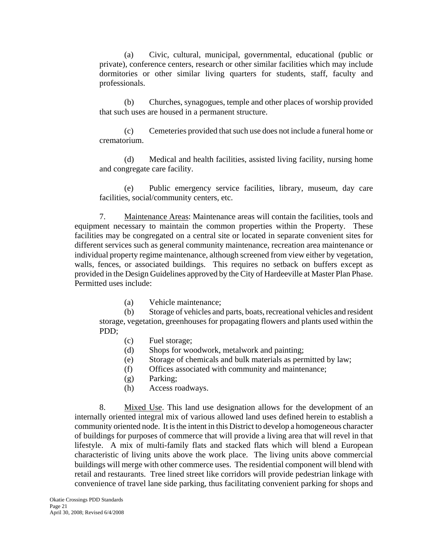(a) Civic, cultural, municipal, governmental, educational (public or private), conference centers, research or other similar facilities which may include dormitories or other similar living quarters for students, staff, faculty and professionals.

(b) Churches, synagogues, temple and other places of worship provided that such uses are housed in a permanent structure.

(c) Cemeteries provided that such use does not include a funeral home or crematorium.

(d) Medical and health facilities, assisted living facility, nursing home and congregate care facility.

(e) Public emergency service facilities, library, museum, day care facilities, social/community centers, etc.

7. Maintenance Areas: Maintenance areas will contain the facilities, tools and equipment necessary to maintain the common properties within the Property. These facilities may be congregated on a central site or located in separate convenient sites for different services such as general community maintenance, recreation area maintenance or individual property regime maintenance, although screened from view either by vegetation, walls, fences, or associated buildings. This requires no setback on buffers except as provided in the Design Guidelines approved by the City of Hardeeville at Master Plan Phase. Permitted uses include:

(a) Vehicle maintenance;

(b) Storage of vehicles and parts, boats, recreational vehicles and resident storage, vegetation, greenhouses for propagating flowers and plants used within the PDD;

- (c) Fuel storage;
- (d) Shops for woodwork, metalwork and painting;
- (e) Storage of chemicals and bulk materials as permitted by law;
- (f) Offices associated with community and maintenance;
- (g) Parking;
- (h) Access roadways.

8. Mixed Use. This land use designation allows for the development of an internally oriented integral mix of various allowed land uses defined herein to establish a community oriented node. It is the intent in this District to develop a homogeneous character of buildings for purposes of commerce that will provide a living area that will revel in that lifestyle. A mix of multi-family flats and stacked flats which will blend a European characteristic of living units above the work place. The living units above commercial buildings will merge with other commerce uses. The residential component will blend with retail and restaurants. Tree lined street like corridors will provide pedestrian linkage with convenience of travel lane side parking, thus facilitating convenient parking for shops and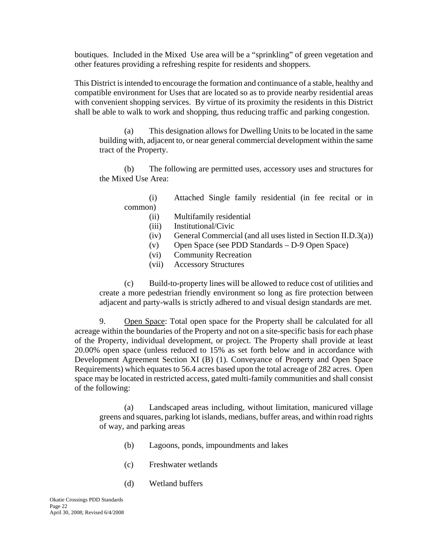boutiques. Included in the Mixed Use area will be a "sprinkling" of green vegetation and other features providing a refreshing respite for residents and shoppers.

This District is intended to encourage the formation and continuance of a stable, healthy and compatible environment for Uses that are located so as to provide nearby residential areas with convenient shopping services. By virtue of its proximity the residents in this District shall be able to walk to work and shopping, thus reducing traffic and parking congestion.

(a) This designation allows for Dwelling Units to be located in the same building with, adjacent to, or near general commercial development within the same tract of the Property.

(b) The following are permitted uses, accessory uses and structures for the Mixed Use Area:

(i) Attached Single family residential (in fee recital or in common)

- (ii) Multifamily residential
- (iii) Institutional/Civic
- $(iv)$  General Commercial (and all uses listed in Section II.D.3(a))
- (v) Open Space (see PDD Standards D-9 Open Space)
- (vi) Community Recreation
- (vii) Accessory Structures

(c) Build-to-property lines will be allowed to reduce cost of utilities and create a more pedestrian friendly environment so long as fire protection between adjacent and party-walls is strictly adhered to and visual design standards are met.

9. Open Space: Total open space for the Property shall be calculated for all acreage within the boundaries of the Property and not on a site-specific basis for each phase of the Property, individual development, or project. The Property shall provide at least 20.00% open space (unless reduced to 15% as set forth below and in accordance with Development Agreement Section XI (B) (1). Conveyance of Property and Open Space Requirements) which equates to 56.4 acres based upon the total acreage of 282 acres. Open space may be located in restricted access, gated multi-family communities and shall consist of the following:

(a) Landscaped areas including, without limitation, manicured village greens and squares, parking lot islands, medians, buffer areas, and within road rights of way, and parking areas

- (b) Lagoons, ponds, impoundments and lakes
- (c) Freshwater wetlands
- (d) Wetland buffers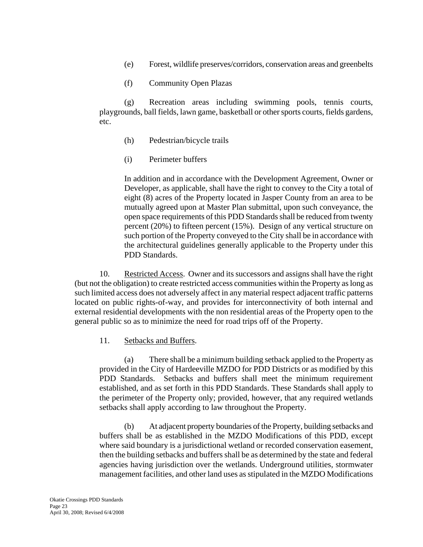- (e) Forest, wildlife preserves/corridors, conservation areas and greenbelts
- (f) Community Open Plazas

(g) Recreation areas including swimming pools, tennis courts, playgrounds, ball fields, lawn game, basketball or other sports courts, fields gardens, etc.

- (h) Pedestrian/bicycle trails
- (i) Perimeter buffers

In addition and in accordance with the Development Agreement, Owner or Developer, as applicable, shall have the right to convey to the City a total of eight (8) acres of the Property located in Jasper County from an area to be mutually agreed upon at Master Plan submittal, upon such conveyance, the open space requirements of this PDD Standards shall be reduced from twenty percent (20%) to fifteen percent (15%). Design of any vertical structure on such portion of the Property conveyed to the City shall be in accordance with the architectural guidelines generally applicable to the Property under this PDD Standards.

10. Restricted Access. Owner and its successors and assigns shall have the right (but not the obligation) to create restricted access communities within the Property as long as such limited access does not adversely affect in any material respect adjacent traffic patterns located on public rights-of-way, and provides for interconnectivity of both internal and external residential developments with the non residential areas of the Property open to the general public so as to minimize the need for road trips off of the Property.

#### 11. Setbacks and Buffers.

(a) There shall be a minimum building setback applied to the Property as provided in the City of Hardeeville MZDO for PDD Districts or as modified by this PDD Standards. Setbacks and buffers shall meet the minimum requirement established, and as set forth in this PDD Standards. These Standards shall apply to the perimeter of the Property only; provided, however, that any required wetlands setbacks shall apply according to law throughout the Property.

(b) At adjacent property boundaries of the Property, building setbacks and buffers shall be as established in the MZDO Modifications of this PDD, except where said boundary is a jurisdictional wetland or recorded conservation easement, then the building setbacks and buffers shall be as determined by the state and federal agencies having jurisdiction over the wetlands. Underground utilities, stormwater management facilities, and other land uses as stipulated in the MZDO Modifications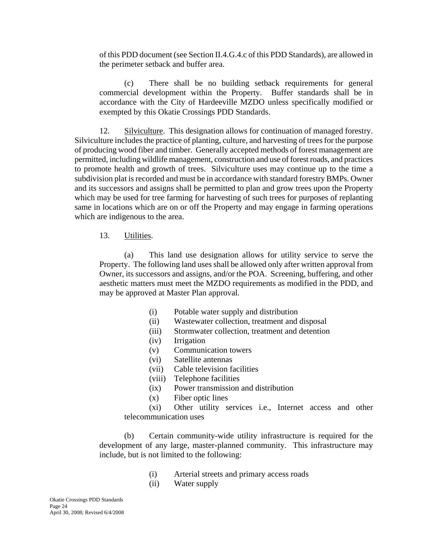of this PDD document (see Section II.4.G.4.c of this PDD Standards), are allowed in the perimeter setback and buffer area.

(c) There shall be no building setback requirements for general commercial development within the Property. Buffer standards shall be in accordance with the City of Hardeeville MZDO unless specifically modified or exempted by this Okatie Crossings PDD Standards.

12. Silviculture. This designation allows for continuation of managed forestry. Silviculture includes the practice of planting, culture, and harvesting of trees for the purpose of producing wood fiber and timber. Generally accepted methods of forest management are permitted, including wildlife management, construction and use of forest roads, and practices to promote health and growth of trees. Silviculture uses may continue up to the time a subdivision plat is recorded and must be in accordance with standard forestry BMPs. Owner and its successors and assigns shall be permitted to plan and grow trees upon the Property which may be used for tree farming for harvesting of such trees for purposes of replanting same in locations which are on or off the Property and may engage in farming operations which are indigenous to the area.

### 13. Utilities.

(a) This land use designation allows for utility service to serve the Property. The following land uses shall be allowed only after written approval from Owner, its successors and assigns, and/or the POA. Screening, buffering, and other aesthetic matters must meet the MZDO requirements as modified in the PDD, and may be approved at Master Plan approval.

- (i) Potable water supply and distribution
- (ii) Wastewater collection, treatment and disposal
- (iii) Stormwater collection, treatment and detention
- (iv) Irrigation
- (v) Communication towers
- (vi) Satellite antennas
- (vii) Cable television facilities
- (viii) Telephone facilities
- (ix) Power transmission and distribution
- (x) Fiber optic lines

(xi) Other utility services i.e., Internet access and other telecommunication uses

(b) Certain community-wide utility infrastructure is required for the development of any large, master-planned community. This infrastructure may include, but is not limited to the following:

- (i) Arterial streets and primary access roads
- (ii) Water supply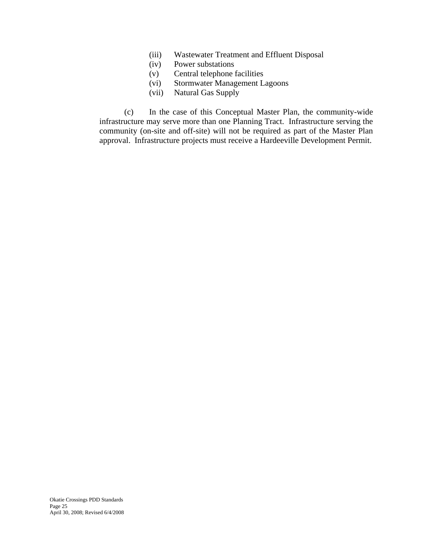- (iii) Wastewater Treatment and Effluent Disposal
- (iv) Power substations
- (v) Central telephone facilities
- (vi) Stormwater Management Lagoons
- (vii) Natural Gas Supply

(c) In the case of this Conceptual Master Plan, the community-wide infrastructure may serve more than one Planning Tract. Infrastructure serving the community (on-site and off-site) will not be required as part of the Master Plan approval. Infrastructure projects must receive a Hardeeville Development Permit.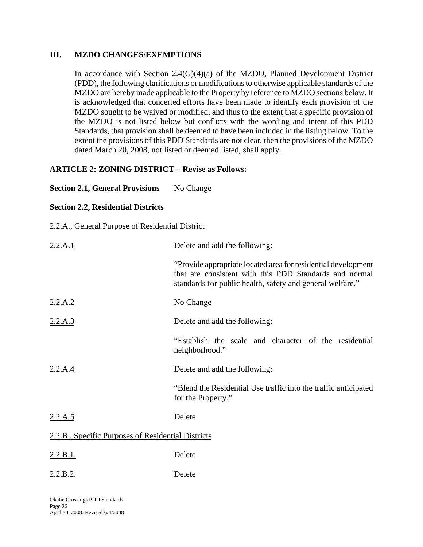#### **III. MZDO CHANGES/EXEMPTIONS**

In accordance with Section  $2.4(G)(4)(a)$  of the MZDO, Planned Development District (PDD), the following clarifications or modifications to otherwise applicable standards of the MZDO are hereby made applicable to the Property by reference to MZDO sections below. It is acknowledged that concerted efforts have been made to identify each provision of the MZDO sought to be waived or modified, and thus to the extent that a specific provision of the MZDO is not listed below but conflicts with the wording and intent of this PDD Standards, that provision shall be deemed to have been included in the listing below. To the extent the provisions of this PDD Standards are not clear, then the provisions of the MZDO dated March 20, 2008, not listed or deemed listed, shall apply.

# **ARTICLE 2: ZONING DISTRICT – Revise as Follows:**

### **Section 2.1, General Provisions** No Change

### **Section 2.2, Residential Districts**

2.2.A., General Purpose of Residential District

| 2.2.A.1                                            | Delete and add the following:                                                                                                                                                        |  |
|----------------------------------------------------|--------------------------------------------------------------------------------------------------------------------------------------------------------------------------------------|--|
|                                                    | "Provide appropriate located area for residential development<br>that are consistent with this PDD Standards and normal<br>standards for public health, safety and general welfare." |  |
| $2.2.A.2$<br>$2.2.A.3$                             | No Change                                                                                                                                                                            |  |
|                                                    | Delete and add the following:                                                                                                                                                        |  |
|                                                    | "Establish the scale and character of the residential<br>neighborhood."                                                                                                              |  |
| 2.2.A.4                                            | Delete and add the following:                                                                                                                                                        |  |
|                                                    | "Blend the Residential Use traffic into the traffic anticipated<br>for the Property."                                                                                                |  |
| 2.2.A.5                                            | Delete                                                                                                                                                                               |  |
| 2.2.B., Specific Purposes of Residential Districts |                                                                                                                                                                                      |  |
| <u>2.2.B.1.</u>                                    | Delete                                                                                                                                                                               |  |
| 2.2.B.2.                                           | Delete                                                                                                                                                                               |  |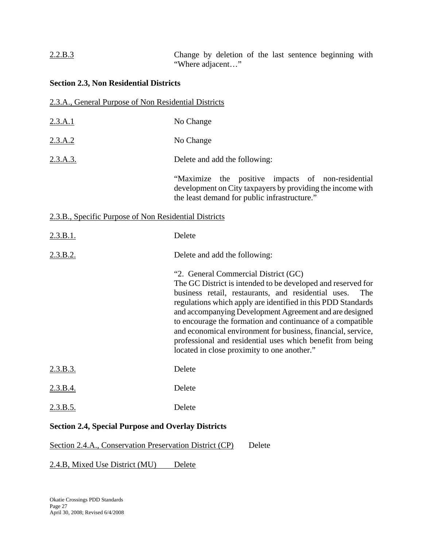# 2.2.B.3 Change by deletion of the last sentence beginning with "Where adjacent…"

### **Section 2.3, Non Residential Districts**

### 2.3.A., General Purpose of Non Residential Districts

- 2.3.A.1 No Change
- 2.3.A.2 No Change

2.3.A.3. Delete and add the following:

 "Maximize the positive impacts of non-residential development on City taxpayers by providing the income with the least demand for public infrastructure."

#### 2.3.B., Specific Purpose of Non Residential Districts

| 2.3.B.1. | Delete                                                                                                                                                                                                                                                                                                                                                                                                                                                                                                                                   |
|----------|------------------------------------------------------------------------------------------------------------------------------------------------------------------------------------------------------------------------------------------------------------------------------------------------------------------------------------------------------------------------------------------------------------------------------------------------------------------------------------------------------------------------------------------|
| 2.3.B.2. | Delete and add the following:                                                                                                                                                                                                                                                                                                                                                                                                                                                                                                            |
|          | "2. General Commercial District (GC)<br>The GC District is intended to be developed and reserved for<br>business retail, restaurants, and residential uses.<br>The<br>regulations which apply are identified in this PDD Standards<br>and accompanying Development Agreement and are designed<br>to encourage the formation and continuance of a compatible<br>and economical environment for business, financial, service,<br>professional and residential uses which benefit from being<br>located in close proximity to one another." |
| 2.3.B.3. | Delete                                                                                                                                                                                                                                                                                                                                                                                                                                                                                                                                   |
| 2.3.B.4. | Delete                                                                                                                                                                                                                                                                                                                                                                                                                                                                                                                                   |
| 2.3.B.5. | Delete                                                                                                                                                                                                                                                                                                                                                                                                                                                                                                                                   |

### **Section 2.4, Special Purpose and Overlay Districts**

#### Section 2.4.A., Conservation Preservation District (CP) Delete

#### 2.4.B, Mixed Use District (MU) Delete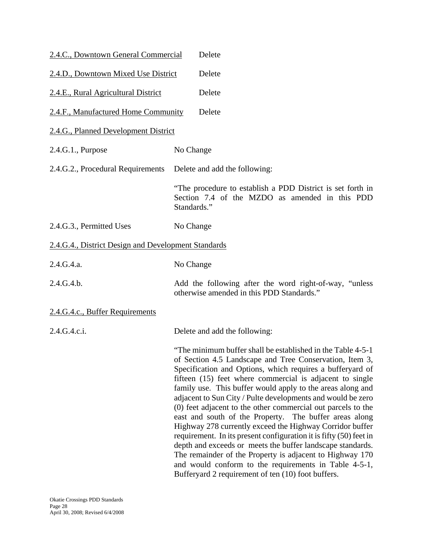| 2.4.C., Downtown General Commercial                 | Delete                                                                                                                                                                                                                                                                                                                                                                                                                                                                                                                                                                                                                                                                                                                                                                                                                                                                             |
|-----------------------------------------------------|------------------------------------------------------------------------------------------------------------------------------------------------------------------------------------------------------------------------------------------------------------------------------------------------------------------------------------------------------------------------------------------------------------------------------------------------------------------------------------------------------------------------------------------------------------------------------------------------------------------------------------------------------------------------------------------------------------------------------------------------------------------------------------------------------------------------------------------------------------------------------------|
| 2.4.D., Downtown Mixed Use District                 | Delete                                                                                                                                                                                                                                                                                                                                                                                                                                                                                                                                                                                                                                                                                                                                                                                                                                                                             |
| 2.4.E., Rural Agricultural District                 | Delete                                                                                                                                                                                                                                                                                                                                                                                                                                                                                                                                                                                                                                                                                                                                                                                                                                                                             |
| 2.4.F., Manufactured Home Community                 | Delete                                                                                                                                                                                                                                                                                                                                                                                                                                                                                                                                                                                                                                                                                                                                                                                                                                                                             |
| 2.4.G., Planned Development District                |                                                                                                                                                                                                                                                                                                                                                                                                                                                                                                                                                                                                                                                                                                                                                                                                                                                                                    |
| 2.4.G.1., Purpose                                   | No Change                                                                                                                                                                                                                                                                                                                                                                                                                                                                                                                                                                                                                                                                                                                                                                                                                                                                          |
| 2.4.G.2., Procedural Requirements                   | Delete and add the following:                                                                                                                                                                                                                                                                                                                                                                                                                                                                                                                                                                                                                                                                                                                                                                                                                                                      |
|                                                     | "The procedure to establish a PDD District is set forth in<br>Section 7.4 of the MZDO as amended in this PDD<br>Standards."                                                                                                                                                                                                                                                                                                                                                                                                                                                                                                                                                                                                                                                                                                                                                        |
| 2.4.G.3., Permitted Uses                            | No Change                                                                                                                                                                                                                                                                                                                                                                                                                                                                                                                                                                                                                                                                                                                                                                                                                                                                          |
| 2.4.G.4., District Design and Development Standards |                                                                                                                                                                                                                                                                                                                                                                                                                                                                                                                                                                                                                                                                                                                                                                                                                                                                                    |
| 2.4.G.4.a.                                          | No Change                                                                                                                                                                                                                                                                                                                                                                                                                                                                                                                                                                                                                                                                                                                                                                                                                                                                          |
| 2.4.G.4.b.                                          | Add the following after the word right-of-way, "unless"<br>otherwise amended in this PDD Standards."                                                                                                                                                                                                                                                                                                                                                                                                                                                                                                                                                                                                                                                                                                                                                                               |
| 2.4.G.4.c., Buffer Requirements                     |                                                                                                                                                                                                                                                                                                                                                                                                                                                                                                                                                                                                                                                                                                                                                                                                                                                                                    |
| 2.4.G.4.c.i.                                        | Delete and add the following:                                                                                                                                                                                                                                                                                                                                                                                                                                                                                                                                                                                                                                                                                                                                                                                                                                                      |
|                                                     | "The minimum buffer shall be established in the Table 4-5-1"<br>of Section 4.5 Landscape and Tree Conservation, Item 3,<br>Specification and Options, which requires a bufferyard of<br>fifteen (15) feet where commercial is adjacent to single<br>family use. This buffer would apply to the areas along and<br>adjacent to Sun City / Pulte developments and would be zero<br>(0) feet adjacent to the other commercial out parcels to the<br>east and south of the Property. The buffer areas along<br>Highway 278 currently exceed the Highway Corridor buffer<br>requirement. In its present configuration it is fifty (50) feet in<br>depth and exceeds or meets the buffer landscape standards.<br>The remainder of the Property is adjacent to Highway 170<br>and would conform to the requirements in Table 4-5-1,<br>Bufferyard 2 requirement of ten (10) foot buffers. |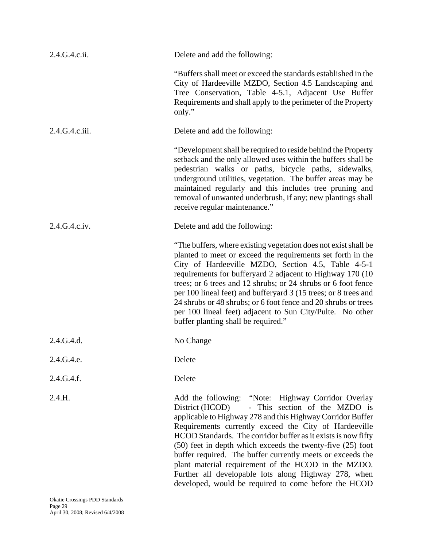| 2.4.G.4.c.ii.  | Delete and add the following:                                                                                                                                                                                                                                                                                                                                                                                                                                                                                                                                                                     |
|----------------|---------------------------------------------------------------------------------------------------------------------------------------------------------------------------------------------------------------------------------------------------------------------------------------------------------------------------------------------------------------------------------------------------------------------------------------------------------------------------------------------------------------------------------------------------------------------------------------------------|
|                | "Buffers shall meet or exceed the standards established in the<br>City of Hardeeville MZDO, Section 4.5 Landscaping and<br>Tree Conservation, Table 4-5.1, Adjacent Use Buffer<br>Requirements and shall apply to the perimeter of the Property<br>only."                                                                                                                                                                                                                                                                                                                                         |
| 2.4.G.4.c.iii. | Delete and add the following:                                                                                                                                                                                                                                                                                                                                                                                                                                                                                                                                                                     |
|                | "Development shall be required to reside behind the Property<br>setback and the only allowed uses within the buffers shall be<br>pedestrian walks or paths, bicycle paths, sidewalks,<br>underground utilities, vegetation. The buffer areas may be<br>maintained regularly and this includes tree pruning and<br>removal of unwanted underbrush, if any; new plantings shall<br>receive regular maintenance."                                                                                                                                                                                    |
| 2.4.G.4.c.iv.  | Delete and add the following:                                                                                                                                                                                                                                                                                                                                                                                                                                                                                                                                                                     |
|                | "The buffers, where existing vegetation does not exist shall be<br>planted to meet or exceed the requirements set forth in the<br>City of Hardeeville MZDO, Section 4.5, Table 4-5-1<br>requirements for bufferyard 2 adjacent to Highway 170 (10<br>trees; or 6 trees and 12 shrubs; or 24 shrubs or 6 foot fence<br>per 100 lineal feet) and bufferyard 3 (15 trees; or 8 trees and<br>24 shrubs or 48 shrubs; or 6 foot fence and 20 shrubs or trees<br>per 100 lineal feet) adjacent to Sun City/Pulte. No other<br>buffer planting shall be required."                                       |
| 2.4.G.4.d.     | No Change                                                                                                                                                                                                                                                                                                                                                                                                                                                                                                                                                                                         |
| 2.4.G.4.e.     | Delete                                                                                                                                                                                                                                                                                                                                                                                                                                                                                                                                                                                            |
| 2.4.G.4.f.     | Delete                                                                                                                                                                                                                                                                                                                                                                                                                                                                                                                                                                                            |
| 2.4.H.         | Add the following: "Note: Highway Corridor Overlay<br>- This section of the MZDO is<br>District (HCOD)<br>applicable to Highway 278 and this Highway Corridor Buffer<br>Requirements currently exceed the City of Hardeeville<br>HCOD Standards. The corridor buffer as it exists is now fifty<br>(50) feet in depth which exceeds the twenty-five (25) foot<br>buffer required. The buffer currently meets or exceeds the<br>plant material requirement of the HCOD in the MZDO.<br>Further all developable lots along Highway 278, when<br>developed, would be required to come before the HCOD |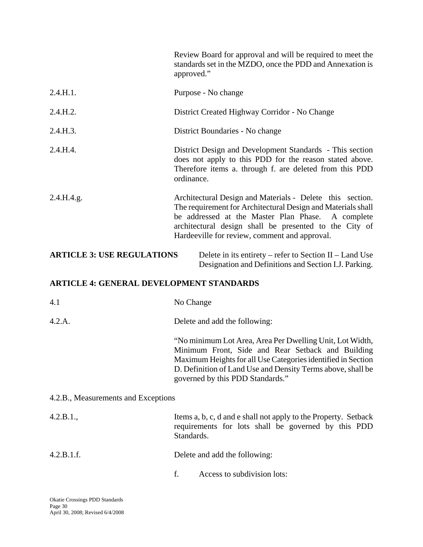|                                                                                                                                                       | Review Board for approval and will be required to meet the<br>standards set in the MZDO, once the PDD and Annexation is<br>approved."                                                                                                                                                        |  |
|-------------------------------------------------------------------------------------------------------------------------------------------------------|----------------------------------------------------------------------------------------------------------------------------------------------------------------------------------------------------------------------------------------------------------------------------------------------|--|
| 2.4.H.1.                                                                                                                                              | Purpose - No change                                                                                                                                                                                                                                                                          |  |
| 2.4.H.2.                                                                                                                                              | District Created Highway Corridor - No Change                                                                                                                                                                                                                                                |  |
| 2.4.H.3.                                                                                                                                              | District Boundaries - No change                                                                                                                                                                                                                                                              |  |
| 2.4.H.4.                                                                                                                                              | District Design and Development Standards - This section<br>does not apply to this PDD for the reason stated above.<br>Therefore items a. through f. are deleted from this PDD<br>ordinance.                                                                                                 |  |
| 2.4.H.4.g.                                                                                                                                            | Architectural Design and Materials - Delete this section.<br>The requirement for Architectural Design and Materials shall<br>be addressed at the Master Plan Phase.<br>A complete<br>architectural design shall be presented to the City of<br>Hardeeville for review, comment and approval. |  |
| <b>ARTICLE 3: USE REGULATIONS</b><br>Delete in its entirety – refer to Section II – Land Use<br>Designation and Definitions and Section I.J. Parking. |                                                                                                                                                                                                                                                                                              |  |
| <b>ARTICLE 4: GENERAL DEVELOPMENT STANDARDS</b>                                                                                                       |                                                                                                                                                                                                                                                                                              |  |
| 4.1                                                                                                                                                   | No Change                                                                                                                                                                                                                                                                                    |  |
| 4.2.A.                                                                                                                                                | Delete and add the following:                                                                                                                                                                                                                                                                |  |
|                                                                                                                                                       | "No minimum Lot Area, Area Per Dwelling Unit, Lot Width,<br>Minimum Front, Side and Rear Setback and Building<br>Maximum Heights for all Use Categories identified in Section<br>D. Definition of Land Use and Density Terms above, shall be<br>governed by this PDD Standards."             |  |
| 4.2.B., Measurements and Exceptions                                                                                                                   |                                                                                                                                                                                                                                                                                              |  |
| 4.2.B.1.,                                                                                                                                             | Items a, b, c, d and e shall not apply to the Property. Setback<br>requirements for lots shall be governed by this PDD<br>Standards.                                                                                                                                                         |  |
| 4.2.B.1.f.                                                                                                                                            | Delete and add the following:                                                                                                                                                                                                                                                                |  |
|                                                                                                                                                       | f.<br>Access to subdivision lots:                                                                                                                                                                                                                                                            |  |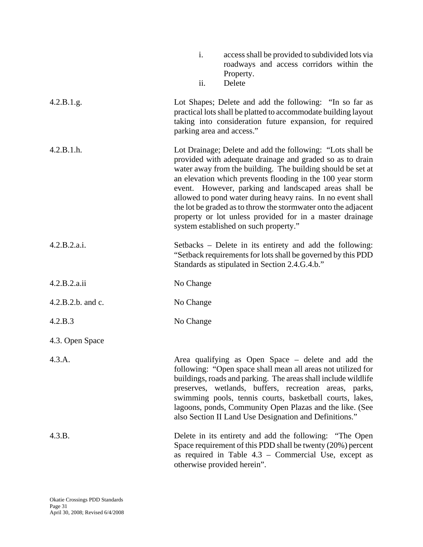|                   | $\mathbf{i}$ .<br>access shall be provided to subdivided lots via<br>roadways and access corridors within the<br>Property.<br>Delete<br>ii.                                                                                                                                                                                                                                                                                                                                                                                                         |
|-------------------|-----------------------------------------------------------------------------------------------------------------------------------------------------------------------------------------------------------------------------------------------------------------------------------------------------------------------------------------------------------------------------------------------------------------------------------------------------------------------------------------------------------------------------------------------------|
| 4.2.B.1.g.        | Lot Shapes; Delete and add the following: "In so far as<br>practical lots shall be platted to accommodate building layout<br>taking into consideration future expansion, for required<br>parking area and access."                                                                                                                                                                                                                                                                                                                                  |
| 4.2.B.1.h.        | Lot Drainage; Delete and add the following: "Lots shall be<br>provided with adequate drainage and graded so as to drain<br>water away from the building. The building should be set at<br>an elevation which prevents flooding in the 100 year storm<br>event. However, parking and landscaped areas shall be<br>allowed to pond water during heavy rains. In no event shall<br>the lot be graded as to throw the stormwater onto the adjacent<br>property or lot unless provided for in a master drainage<br>system established on such property." |
| 4.2.B.2.a.i.      | Setbacks – Delete in its entirety and add the following:<br>"Setback requirements for lots shall be governed by this PDD<br>Standards as stipulated in Section 2.4.G.4.b."                                                                                                                                                                                                                                                                                                                                                                          |
| 4.2.B.2.a.ii      | No Change                                                                                                                                                                                                                                                                                                                                                                                                                                                                                                                                           |
| 4.2.B.2.b. and c. | No Change                                                                                                                                                                                                                                                                                                                                                                                                                                                                                                                                           |
| 4.2.B.3           | No Change                                                                                                                                                                                                                                                                                                                                                                                                                                                                                                                                           |
| 4.3. Open Space   |                                                                                                                                                                                                                                                                                                                                                                                                                                                                                                                                                     |
| 4.3.A.            | Area qualifying as Open Space – delete and add the<br>following: "Open space shall mean all areas not utilized for<br>buildings, roads and parking. The areas shall include wildlife<br>preserves, wetlands, buffers, recreation areas, parks,<br>swimming pools, tennis courts, basketball courts, lakes,<br>lagoons, ponds, Community Open Plazas and the like. (See<br>also Section II Land Use Designation and Definitions."                                                                                                                    |
| 4.3.B.            | Delete in its entirety and add the following: "The Open<br>Space requirement of this PDD shall be twenty (20%) percent<br>as required in Table $4.3$ – Commercial Use, except as<br>otherwise provided herein".                                                                                                                                                                                                                                                                                                                                     |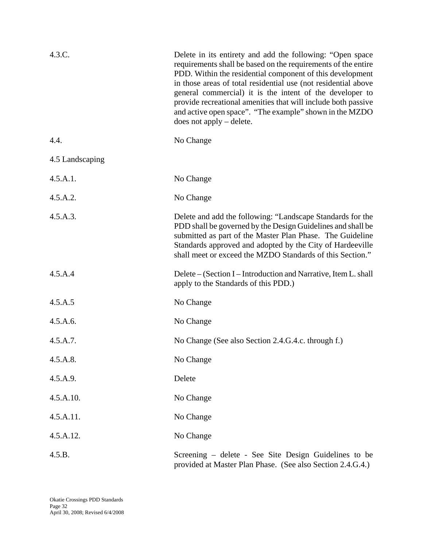| 4.3.C.          | Delete in its entirety and add the following: "Open space<br>requirements shall be based on the requirements of the entire<br>PDD. Within the residential component of this development<br>in those areas of total residential use (not residential above<br>general commercial) it is the intent of the developer to<br>provide recreational amenities that will include both passive<br>and active open space". "The example" shown in the MZDO<br>$does not apply - delete.$ |
|-----------------|---------------------------------------------------------------------------------------------------------------------------------------------------------------------------------------------------------------------------------------------------------------------------------------------------------------------------------------------------------------------------------------------------------------------------------------------------------------------------------|
| 4.4.            | No Change                                                                                                                                                                                                                                                                                                                                                                                                                                                                       |
| 4.5 Landscaping |                                                                                                                                                                                                                                                                                                                                                                                                                                                                                 |
| 4.5.A.1.        | No Change                                                                                                                                                                                                                                                                                                                                                                                                                                                                       |
| 4.5.A.2.        | No Change                                                                                                                                                                                                                                                                                                                                                                                                                                                                       |
| 4.5.A.3.        | Delete and add the following: "Landscape Standards for the<br>PDD shall be governed by the Design Guidelines and shall be<br>submitted as part of the Master Plan Phase. The Guideline<br>Standards approved and adopted by the City of Hardeeville<br>shall meet or exceed the MZDO Standards of this Section."                                                                                                                                                                |
| 4.5.A.4         | Delete – (Section I – Introduction and Narrative, Item L. shall<br>apply to the Standards of this PDD.)                                                                                                                                                                                                                                                                                                                                                                         |
| 4.5.A.5         | No Change                                                                                                                                                                                                                                                                                                                                                                                                                                                                       |
| 4.5.A.6.        | No Change                                                                                                                                                                                                                                                                                                                                                                                                                                                                       |
| 4.5.A.7.        | No Change (See also Section 2.4.G.4.c. through f.)                                                                                                                                                                                                                                                                                                                                                                                                                              |
| 4.5.A.8.        | No Change                                                                                                                                                                                                                                                                                                                                                                                                                                                                       |
| 4.5.A.9.        | Delete                                                                                                                                                                                                                                                                                                                                                                                                                                                                          |
| 4.5.A.10.       | No Change                                                                                                                                                                                                                                                                                                                                                                                                                                                                       |
| 4.5.A.11.       | No Change                                                                                                                                                                                                                                                                                                                                                                                                                                                                       |
| 4.5.A.12.       | No Change                                                                                                                                                                                                                                                                                                                                                                                                                                                                       |
| 4.5.B.          | Screening – delete - See Site Design Guidelines to be<br>provided at Master Plan Phase. (See also Section 2.4.G.4.)                                                                                                                                                                                                                                                                                                                                                             |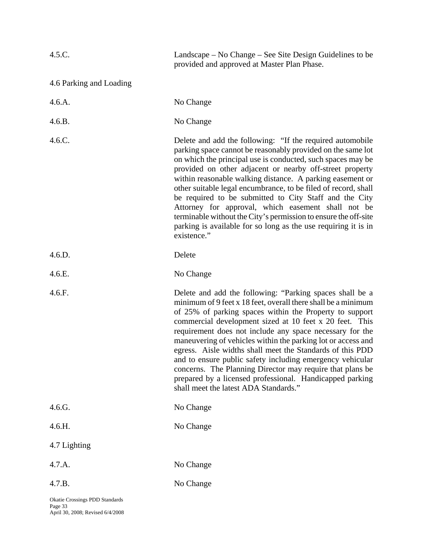| 4.5.C.                         | Landscape – No Change – See Site Design Guidelines to be<br>provided and approved at Master Plan Phase.                                                                                                                                                                                                                                                                                                                                                                                                                                                                                                                                                                 |
|--------------------------------|-------------------------------------------------------------------------------------------------------------------------------------------------------------------------------------------------------------------------------------------------------------------------------------------------------------------------------------------------------------------------------------------------------------------------------------------------------------------------------------------------------------------------------------------------------------------------------------------------------------------------------------------------------------------------|
| 4.6 Parking and Loading        |                                                                                                                                                                                                                                                                                                                                                                                                                                                                                                                                                                                                                                                                         |
| 4.6.A.                         | No Change                                                                                                                                                                                                                                                                                                                                                                                                                                                                                                                                                                                                                                                               |
| 4.6.B.                         | No Change                                                                                                                                                                                                                                                                                                                                                                                                                                                                                                                                                                                                                                                               |
| 4.6.C.                         | Delete and add the following: "If the required automobile<br>parking space cannot be reasonably provided on the same lot<br>on which the principal use is conducted, such spaces may be<br>provided on other adjacent or nearby off-street property<br>within reasonable walking distance. A parking easement or<br>other suitable legal encumbrance, to be filed of record, shall<br>be required to be submitted to City Staff and the City<br>Attorney for approval, which easement shall not be<br>terminable without the City's permission to ensure the off-site<br>parking is available for so long as the use requiring it is in<br>existence."                  |
| 4.6.D.                         | Delete                                                                                                                                                                                                                                                                                                                                                                                                                                                                                                                                                                                                                                                                  |
| 4.6.E.                         | No Change                                                                                                                                                                                                                                                                                                                                                                                                                                                                                                                                                                                                                                                               |
| 4.6.F.                         | Delete and add the following: "Parking spaces shall be a<br>minimum of 9 feet x 18 feet, overall there shall be a minimum<br>of 25% of parking spaces within the Property to support<br>commercial development sized at 10 feet x 20 feet. This<br>requirement does not include any space necessary for the<br>maneuvering of vehicles within the parking lot or access and<br>egress. Aisle widths shall meet the Standards of this PDD<br>and to ensure public safety including emergency vehicular<br>concerns. The Planning Director may require that plans be<br>prepared by a licensed professional. Handicapped parking<br>shall meet the latest ADA Standards." |
| 4.6.G.                         | No Change                                                                                                                                                                                                                                                                                                                                                                                                                                                                                                                                                                                                                                                               |
| 4.6.H.                         | No Change                                                                                                                                                                                                                                                                                                                                                                                                                                                                                                                                                                                                                                                               |
| 4.7 Lighting                   |                                                                                                                                                                                                                                                                                                                                                                                                                                                                                                                                                                                                                                                                         |
| 4.7.A.                         | No Change                                                                                                                                                                                                                                                                                                                                                                                                                                                                                                                                                                                                                                                               |
| 4.7.B.                         | No Change                                                                                                                                                                                                                                                                                                                                                                                                                                                                                                                                                                                                                                                               |
| Okatie Crossings PDD Standards |                                                                                                                                                                                                                                                                                                                                                                                                                                                                                                                                                                                                                                                                         |

Page 33 April 30, 2008; Revised 6/4/2008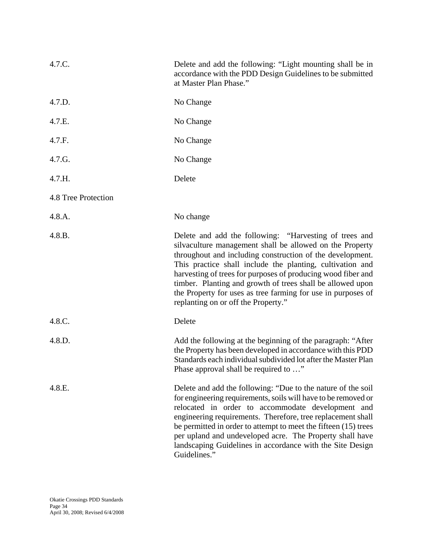| 4.7.C.              | Delete and add the following: "Light mounting shall be in<br>accordance with the PDD Design Guidelines to be submitted<br>at Master Plan Phase."                                                                                                                                                                                                                                                                                                                                  |
|---------------------|-----------------------------------------------------------------------------------------------------------------------------------------------------------------------------------------------------------------------------------------------------------------------------------------------------------------------------------------------------------------------------------------------------------------------------------------------------------------------------------|
| 4.7.D.              | No Change                                                                                                                                                                                                                                                                                                                                                                                                                                                                         |
| 4.7.E.              | No Change                                                                                                                                                                                                                                                                                                                                                                                                                                                                         |
| 4.7.F.              | No Change                                                                                                                                                                                                                                                                                                                                                                                                                                                                         |
| 4.7.G.              | No Change                                                                                                                                                                                                                                                                                                                                                                                                                                                                         |
| 4.7.H.              | Delete                                                                                                                                                                                                                                                                                                                                                                                                                                                                            |
| 4.8 Tree Protection |                                                                                                                                                                                                                                                                                                                                                                                                                                                                                   |
| 4.8.A.              | No change                                                                                                                                                                                                                                                                                                                                                                                                                                                                         |
| 4.8.B.              | Delete and add the following: "Harvesting of trees and<br>silvaculture management shall be allowed on the Property<br>throughout and including construction of the development.<br>This practice shall include the planting, cultivation and<br>harvesting of trees for purposes of producing wood fiber and<br>timber. Planting and growth of trees shall be allowed upon<br>the Property for uses as tree farming for use in purposes of<br>replanting on or off the Property." |
| 4.8.C.              | Delete                                                                                                                                                                                                                                                                                                                                                                                                                                                                            |
| 4.8.D.              | Add the following at the beginning of the paragraph: "After<br>the Property has been developed in accordance with this PDD<br>Standards each individual subdivided lot after the Master Plan<br>Phase approval shall be required to "                                                                                                                                                                                                                                             |
| 4.8.E.              | Delete and add the following: "Due to the nature of the soil<br>for engineering requirements, soils will have to be removed or<br>relocated in order to accommodate development and<br>engineering requirements. Therefore, tree replacement shall<br>be permitted in order to attempt to meet the fifteen (15) trees<br>per upland and undeveloped acre. The Property shall have<br>landscaping Guidelines in accordance with the Site Design<br>Guidelines."                    |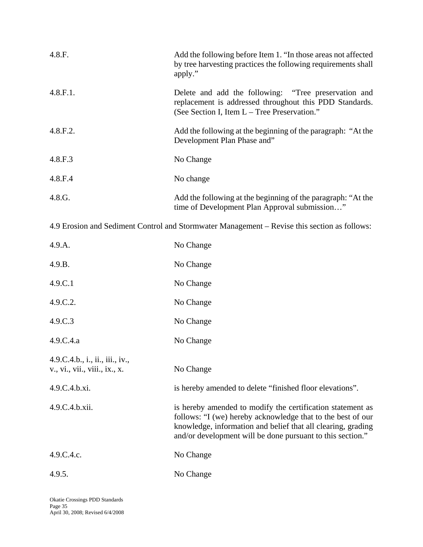| 4.8.F.   | Add the following before Item 1. "In those areas not affected<br>by tree harvesting practices the following requirements shall<br>apply."                       |
|----------|-----------------------------------------------------------------------------------------------------------------------------------------------------------------|
| 4.8.F.1. | Delete and add the following: "Tree preservation and<br>replacement is addressed throughout this PDD Standards.<br>(See Section I, Item L – Tree Preservation." |
| 4.8.F.2. | Add the following at the beginning of the paragraph: "At the<br>Development Plan Phase and"                                                                     |
| 4.8.F.3  | No Change                                                                                                                                                       |
| 4.8.F.4  | No change                                                                                                                                                       |
| 4.8.G.   | Add the following at the beginning of the paragraph: "At the<br>time of Development Plan Approval submission"                                                   |

4.9 Erosion and Sediment Control and Stormwater Management – Revise this section as follows:

| 4.9.A.                                                           | No Change                                                                                                                                                                                                                                               |
|------------------------------------------------------------------|---------------------------------------------------------------------------------------------------------------------------------------------------------------------------------------------------------------------------------------------------------|
| 4.9.B.                                                           | No Change                                                                                                                                                                                                                                               |
| 4.9.C.1                                                          | No Change                                                                                                                                                                                                                                               |
| 4.9.C.2.                                                         | No Change                                                                                                                                                                                                                                               |
| 4.9.C.3                                                          | No Change                                                                                                                                                                                                                                               |
| 4.9.C.4.a                                                        | No Change                                                                                                                                                                                                                                               |
| 4.9.C.4.b., i., ii., iii., iv.,<br>v., vi., vii., viii., ix., x. | No Change                                                                                                                                                                                                                                               |
| 4.9.C.4.b.xi.                                                    | is hereby amended to delete "finished floor elevations".                                                                                                                                                                                                |
| 4.9.C.4.b.xii.                                                   | is hereby amended to modify the certification statement as<br>follows: "I (we) hereby acknowledge that to the best of our<br>knowledge, information and belief that all clearing, grading<br>and/or development will be done pursuant to this section." |
| 4.9.C.4.c.                                                       | No Change                                                                                                                                                                                                                                               |
| 4.9.5.                                                           | No Change                                                                                                                                                                                                                                               |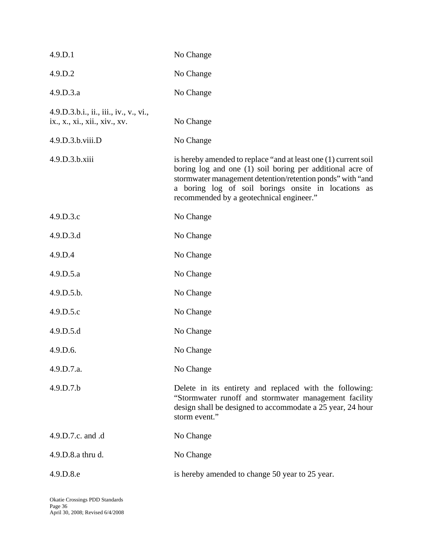| 4.9.D.1                                                                 | No Change                                                                                                                                                                                                                                                                                     |
|-------------------------------------------------------------------------|-----------------------------------------------------------------------------------------------------------------------------------------------------------------------------------------------------------------------------------------------------------------------------------------------|
| 4.9.D.2                                                                 | No Change                                                                                                                                                                                                                                                                                     |
| 4.9.D.3.a                                                               | No Change                                                                                                                                                                                                                                                                                     |
| 4.9.D.3.b.i., ii., iii., iv., v., vi.,<br>ix., x., xi., xii., xiv., xv. | No Change                                                                                                                                                                                                                                                                                     |
| 4.9.D.3.b.viii.D                                                        | No Change                                                                                                                                                                                                                                                                                     |
| 4.9.D.3.b.xiii                                                          | is hereby amended to replace "and at least one (1) current soil<br>boring log and one (1) soil boring per additional acre of<br>stormwater management detention/retention ponds" with "and<br>a boring log of soil borings onsite in locations as<br>recommended by a geotechnical engineer." |
| 4.9.D.3.c                                                               | No Change                                                                                                                                                                                                                                                                                     |
| 4.9.D.3.d                                                               | No Change                                                                                                                                                                                                                                                                                     |
| 4.9.D.4                                                                 | No Change                                                                                                                                                                                                                                                                                     |
| 4.9.D.5.a                                                               | No Change                                                                                                                                                                                                                                                                                     |
| 4.9.D.5.b.                                                              | No Change                                                                                                                                                                                                                                                                                     |
| 4.9.D.5.c                                                               | No Change                                                                                                                                                                                                                                                                                     |
| 4.9.D.5.d                                                               | No Change                                                                                                                                                                                                                                                                                     |
| 4.9.D.6.                                                                | No Change                                                                                                                                                                                                                                                                                     |
| 4.9.D.7.a.                                                              | No Change                                                                                                                                                                                                                                                                                     |
| 4.9.D.7.b                                                               | Delete in its entirety and replaced with the following:<br>"Stormwater runoff and stormwater management facility<br>design shall be designed to accommodate a 25 year, 24 hour<br>storm event."                                                                                               |
| 4.9.D.7.c. and .d                                                       | No Change                                                                                                                                                                                                                                                                                     |
| 4.9.D.8.a thru d.                                                       | No Change                                                                                                                                                                                                                                                                                     |
| 4.9.D.8.e                                                               | is hereby amended to change 50 year to 25 year.                                                                                                                                                                                                                                               |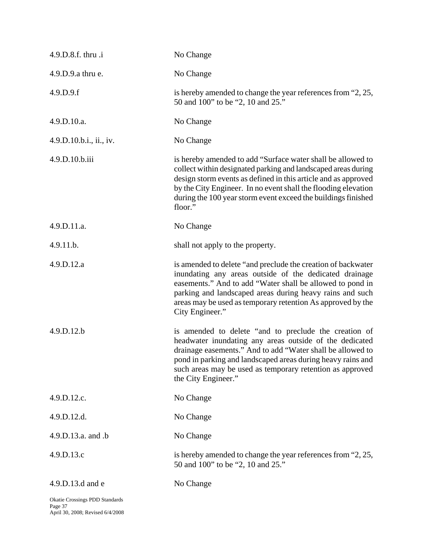| 4.9.D.8.f. thru .i                        | No Change                                                                                                                                                                                                                                                                                                                                    |
|-------------------------------------------|----------------------------------------------------------------------------------------------------------------------------------------------------------------------------------------------------------------------------------------------------------------------------------------------------------------------------------------------|
| 4.9.D.9.a thru e.                         | No Change                                                                                                                                                                                                                                                                                                                                    |
| 4.9.D.9.f                                 | is hereby amended to change the year references from "2, 25,<br>50 and 100" to be "2, 10 and 25."                                                                                                                                                                                                                                            |
| 4.9.D.10.a.                               | No Change                                                                                                                                                                                                                                                                                                                                    |
| 4.9.D.10.b.i., ii., iv.                   | No Change                                                                                                                                                                                                                                                                                                                                    |
| 4.9.D.10.b.iii                            | is hereby amended to add "Surface water shall be allowed to<br>collect within designated parking and landscaped areas during<br>design storm events as defined in this article and as approved<br>by the City Engineer. In no event shall the flooding elevation<br>during the 100 year storm event exceed the buildings finished<br>floor." |
| 4.9.D.11.a.                               | No Change                                                                                                                                                                                                                                                                                                                                    |
| 4.9.11.b.                                 | shall not apply to the property.                                                                                                                                                                                                                                                                                                             |
| 4.9.D.12.a                                | is amended to delete "and preclude the creation of backwater"<br>inundating any areas outside of the dedicated drainage<br>easements." And to add "Water shall be allowed to pond in<br>parking and landscaped areas during heavy rains and such<br>areas may be used as temporary retention As approved by the<br>City Engineer."           |
| 4.9.D.12.b                                | is amended to delete "and to preclude the creation of<br>headwater inundating any areas outside of the dedicated<br>drainage easements." And to add "Water shall be allowed to<br>pond in parking and landscaped areas during heavy rains and<br>such areas may be used as temporary retention as approved<br>the City Engineer."            |
| 4.9.D.12.c.                               | No Change                                                                                                                                                                                                                                                                                                                                    |
| 4.9.D.12.d.                               | No Change                                                                                                                                                                                                                                                                                                                                    |
| 4.9.D.13.a. and .b                        | No Change                                                                                                                                                                                                                                                                                                                                    |
| 4.9.D.13.c                                | is hereby amended to change the year references from "2, 25,<br>50 and 100" to be "2, 10 and 25."                                                                                                                                                                                                                                            |
| 4.9.D.13.d and e                          | No Change                                                                                                                                                                                                                                                                                                                                    |
| Okatie Crossings PDD Standards<br>Page 37 |                                                                                                                                                                                                                                                                                                                                              |

April 30, 2008; Revised 6/4/2008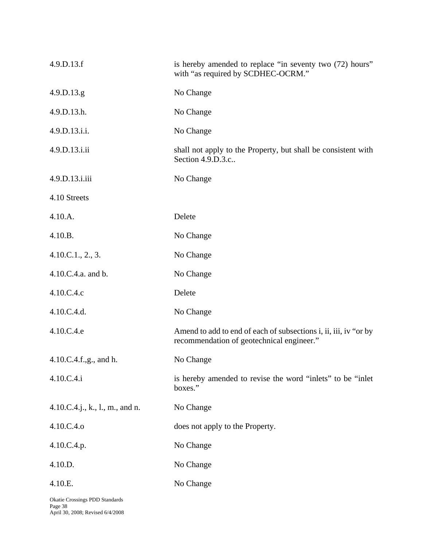| 4.9.D.13.f                      | is hereby amended to replace "in seventy two (72) hours"<br>with "as required by SCDHEC-OCRM."                |
|---------------------------------|---------------------------------------------------------------------------------------------------------------|
| 4.9.D.13.g.                     | No Change                                                                                                     |
| 4.9.D.13.h.                     | No Change                                                                                                     |
| 4.9.D.13.i.i.                   | No Change                                                                                                     |
| 4.9.D.13.i.ii                   | shall not apply to the Property, but shall be consistent with<br>Section 4.9.D.3.c                            |
| 4.9.D.13.i.iii                  | No Change                                                                                                     |
| 4.10 Streets                    |                                                                                                               |
| 4.10.A.                         | Delete                                                                                                        |
| 4.10.B.                         | No Change                                                                                                     |
| 4.10.C.1., 2., 3.               | No Change                                                                                                     |
| 4.10.C.4.a. and b.              | No Change                                                                                                     |
| 4.10.C.4.c                      | Delete                                                                                                        |
| 4.10.C.4.d.                     | No Change                                                                                                     |
| 4.10.C.4.e                      | Amend to add to end of each of subsections i, ii, iii, iv "or by<br>recommendation of geotechnical engineer." |
| 4.10.C.4.f.,g., and h.          | No Change                                                                                                     |
| 4.10.C.4.i                      | is hereby amended to revise the word "inlets" to be "inlet<br>boxes."                                         |
| 4.10.C.4.j., k., l., m., and n. | No Change                                                                                                     |
| 4.10.C.4.o                      | does not apply to the Property.                                                                               |
| 4.10.C.4.p.                     | No Change                                                                                                     |
| 4.10.D.                         | No Change                                                                                                     |
| 4.10.E.                         | No Change                                                                                                     |
|                                 |                                                                                                               |

Okatie Crossings PDD Standards Page 38 April 30, 2008; Revised 6/4/2008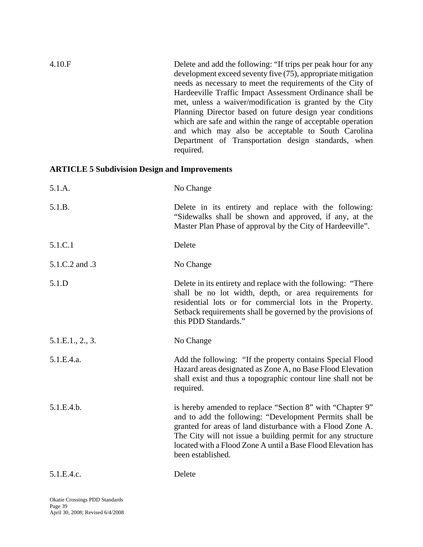| 4.10.F | Delete and add the following: "If trips per peak hour for any    |
|--------|------------------------------------------------------------------|
|        | development exceed seventy five (75), appropriate mitigation     |
|        | needs as necessary to meet the requirements of the City of       |
|        | Hardeeville Traffic Impact Assessment Ordinance shall be         |
|        | met, unless a waiver/modification is granted by the City         |
|        | Planning Director based on future design year conditions         |
|        | which are safe and within the range of acceptable operation      |
|        | and which may also be acceptable to South Carolina               |
|        | Department of Transportation design standards, when<br>required. |

# **ARTICLE 5 Subdivision Design and Improvements**

| 5.1.A.           | No Change                                                                                                                                                                                                                                                                                                         |
|------------------|-------------------------------------------------------------------------------------------------------------------------------------------------------------------------------------------------------------------------------------------------------------------------------------------------------------------|
| 5.1.B.           | Delete in its entirety and replace with the following:<br>"Sidewalks shall be shown and approved, if any, at the<br>Master Plan Phase of approval by the City of Hardeeville".                                                                                                                                    |
| 5.1.C.1          | Delete                                                                                                                                                                                                                                                                                                            |
| 5.1.C.2 and .3   | No Change                                                                                                                                                                                                                                                                                                         |
| 5.1.D            | Delete in its entirety and replace with the following: "There"<br>shall be no lot width, depth, or area requirements for<br>residential lots or for commercial lots in the Property.<br>Setback requirements shall be governed by the provisions of<br>this PDD Standards."                                       |
| 5.1.E.1., 2., 3. | No Change                                                                                                                                                                                                                                                                                                         |
| 5.1.E.4.a.       | Add the following: "If the property contains Special Flood<br>Hazard areas designated as Zone A, no Base Flood Elevation<br>shall exist and thus a topographic contour line shall not be<br>required.                                                                                                             |
| 5.1.E.4.b.       | is hereby amended to replace "Section 8" with "Chapter 9"<br>and to add the following: "Development Permits shall be<br>granted for areas of land disturbance with a Flood Zone A.<br>The City will not issue a building permit for any structure<br>located with a Flood Zone A until a Base Flood Elevation has |
|                  | been established.                                                                                                                                                                                                                                                                                                 |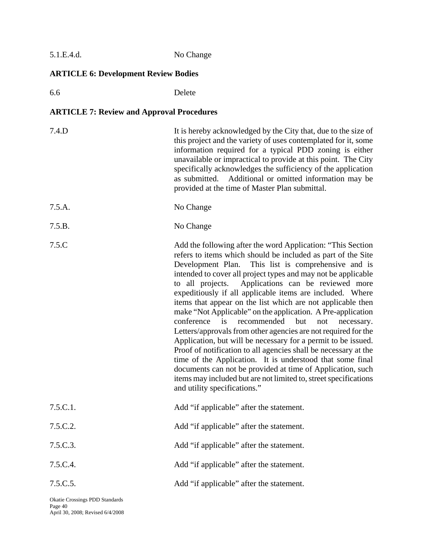| No Change |
|-----------|
|           |

# **ARTICLE 6: Development Review Bodies**

6.6 Delete

# **ARTICLE 7: Review and Approval Procedures**

| 7.4.D    | It is hereby acknowledged by the City that, due to the size of<br>this project and the variety of uses contemplated for it, some<br>information required for a typical PDD zoning is either<br>unavailable or impractical to provide at this point. The City<br>specifically acknowledges the sufficiency of the application<br>as submitted. Additional or omitted information may be<br>provided at the time of Master Plan submittal.                                                                                                                                                                                                                                                                                                                                                                                                                                                                                                                                                                        |
|----------|-----------------------------------------------------------------------------------------------------------------------------------------------------------------------------------------------------------------------------------------------------------------------------------------------------------------------------------------------------------------------------------------------------------------------------------------------------------------------------------------------------------------------------------------------------------------------------------------------------------------------------------------------------------------------------------------------------------------------------------------------------------------------------------------------------------------------------------------------------------------------------------------------------------------------------------------------------------------------------------------------------------------|
| 7.5.A.   | No Change                                                                                                                                                                                                                                                                                                                                                                                                                                                                                                                                                                                                                                                                                                                                                                                                                                                                                                                                                                                                       |
| 7.5.B.   | No Change                                                                                                                                                                                                                                                                                                                                                                                                                                                                                                                                                                                                                                                                                                                                                                                                                                                                                                                                                                                                       |
| 7.5.C    | Add the following after the word Application: "This Section"<br>refers to items which should be included as part of the Site<br>This list is comprehensive and is<br>Development Plan.<br>intended to cover all project types and may not be applicable<br>Applications can be reviewed more<br>to all projects.<br>expeditiously if all applicable items are included. Where<br>items that appear on the list which are not applicable then<br>make "Not Applicable" on the application. A Pre-application<br>is<br>but<br>conference<br>recommended<br>not<br>necessary.<br>Letters/approvals from other agencies are not required for the<br>Application, but will be necessary for a permit to be issued.<br>Proof of notification to all agencies shall be necessary at the<br>time of the Application. It is understood that some final<br>documents can not be provided at time of Application, such<br>items may included but are not limited to, street specifications<br>and utility specifications." |
| 7.5.C.1. | Add "if applicable" after the statement.                                                                                                                                                                                                                                                                                                                                                                                                                                                                                                                                                                                                                                                                                                                                                                                                                                                                                                                                                                        |
| 7.5.C.2. | Add "if applicable" after the statement.                                                                                                                                                                                                                                                                                                                                                                                                                                                                                                                                                                                                                                                                                                                                                                                                                                                                                                                                                                        |
| 7.5.C.3. | Add "if applicable" after the statement.                                                                                                                                                                                                                                                                                                                                                                                                                                                                                                                                                                                                                                                                                                                                                                                                                                                                                                                                                                        |
| 7.5.C.4. | Add "if applicable" after the statement.                                                                                                                                                                                                                                                                                                                                                                                                                                                                                                                                                                                                                                                                                                                                                                                                                                                                                                                                                                        |
| 7.5.C.5. | Add "if applicable" after the statement.                                                                                                                                                                                                                                                                                                                                                                                                                                                                                                                                                                                                                                                                                                                                                                                                                                                                                                                                                                        |

Okatie Crossings PDD Standards Page 40 April 30, 2008; Revised 6/4/2008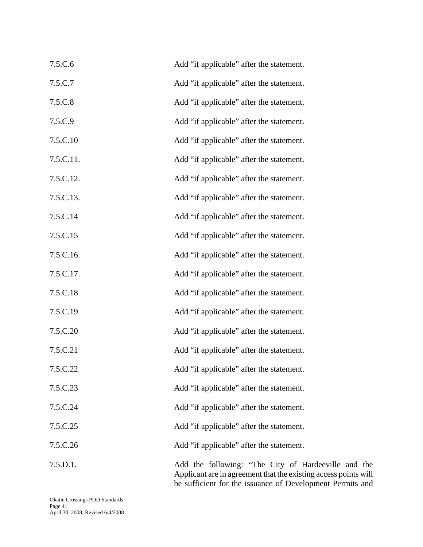| 7.5.C.6   | Add "if applicable" after the statement. |
|-----------|------------------------------------------|
| 7.5.C.7   | Add "if applicable" after the statement. |
| 7.5.C.8   | Add "if applicable" after the statement. |
| 7.5.C.9   | Add "if applicable" after the statement. |
| 7.5.C.10  | Add "if applicable" after the statement. |
| 7.5.C.11. | Add "if applicable" after the statement. |
| 7.5.C.12. | Add "if applicable" after the statement. |
| 7.5.C.13. | Add "if applicable" after the statement. |
| 7.5.C.14  | Add "if applicable" after the statement. |
| 7.5.C.15  | Add "if applicable" after the statement. |
| 7.5.C.16. | Add "if applicable" after the statement. |
| 7.5.C.17. | Add "if applicable" after the statement. |
| 7.5.C.18  | Add "if applicable" after the statement. |
| 7.5.C.19  | Add "if applicable" after the statement. |
| 7.5.C.20  | Add "if applicable" after the statement. |
| 7.5.C.21  | Add "if applicable" after the statement. |
| 7.5.C.22  | Add "if applicable" after the statement. |
| 7.5.C.23  | Add "if applicable" after the statement. |
| 7.5.C.24  | Add "if applicable" after the statement. |
| 7.5.C.25  | Add "if applicable" after the statement. |
| 7.5.C.26  | Add "if applicable" after the statement. |
| 7.5.D.1.  | Add the following: "The City of Hard     |

leeville and the Applicant are in agreement that the existing access points will be sufficient for the issuance of Development Permits and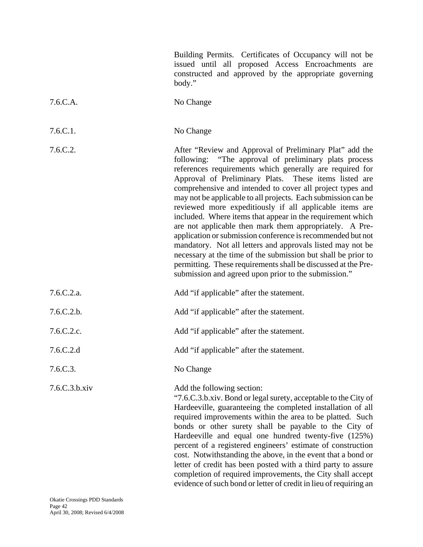|               | Building Permits. Certificates of Occupancy will not be<br>issued until all proposed Access Encroachments are<br>constructed and approved by the appropriate governing<br>body."                                                                                                                                                                                                                                                                                                                                                                                                                                                                                                                                                                                                                                                                                               |
|---------------|--------------------------------------------------------------------------------------------------------------------------------------------------------------------------------------------------------------------------------------------------------------------------------------------------------------------------------------------------------------------------------------------------------------------------------------------------------------------------------------------------------------------------------------------------------------------------------------------------------------------------------------------------------------------------------------------------------------------------------------------------------------------------------------------------------------------------------------------------------------------------------|
| 7.6.C.A.      | No Change                                                                                                                                                                                                                                                                                                                                                                                                                                                                                                                                                                                                                                                                                                                                                                                                                                                                      |
| 7.6.C.1.      | No Change                                                                                                                                                                                                                                                                                                                                                                                                                                                                                                                                                                                                                                                                                                                                                                                                                                                                      |
| 7.6.C.2.      | After "Review and Approval of Preliminary Plat" add the<br>following: "The approval of preliminary plats process<br>references requirements which generally are required for<br>Approval of Preliminary Plats. These items listed are<br>comprehensive and intended to cover all project types and<br>may not be applicable to all projects. Each submission can be<br>reviewed more expeditiously if all applicable items are<br>included. Where items that appear in the requirement which<br>are not applicable then mark them appropriately. A Pre-<br>application or submission conference is recommended but not<br>mandatory. Not all letters and approvals listed may not be<br>necessary at the time of the submission but shall be prior to<br>permitting. These requirements shall be discussed at the Pre-<br>submission and agreed upon prior to the submission." |
| 7.6.C.2.a.    | Add "if applicable" after the statement.                                                                                                                                                                                                                                                                                                                                                                                                                                                                                                                                                                                                                                                                                                                                                                                                                                       |
| 7.6.C.2.b.    | Add "if applicable" after the statement.                                                                                                                                                                                                                                                                                                                                                                                                                                                                                                                                                                                                                                                                                                                                                                                                                                       |
| 7.6.C.2.c.    | Add "if applicable" after the statement.                                                                                                                                                                                                                                                                                                                                                                                                                                                                                                                                                                                                                                                                                                                                                                                                                                       |
| 7.6.C.2.d     | Add "if applicable" after the statement.                                                                                                                                                                                                                                                                                                                                                                                                                                                                                                                                                                                                                                                                                                                                                                                                                                       |
| 7.6.C.3.      | No Change                                                                                                                                                                                                                                                                                                                                                                                                                                                                                                                                                                                                                                                                                                                                                                                                                                                                      |
| 7.6.C.3.b.xiv | Add the following section:<br>"7.6.C.3.b.xiv. Bond or legal surety, acceptable to the City of<br>Hardeeville, guaranteeing the completed installation of all<br>required improvements within the area to be platted. Such<br>bonds or other surety shall be payable to the City of<br>Hardeeville and equal one hundred twenty-five (125%)<br>percent of a registered engineers' estimate of construction<br>cost. Notwithstanding the above, in the event that a bond or<br>letter of credit has been posted with a third party to assure<br>completion of required improvements, the City shall accept<br>evidence of such bond or letter of credit in lieu of requiring an                                                                                                                                                                                                  |